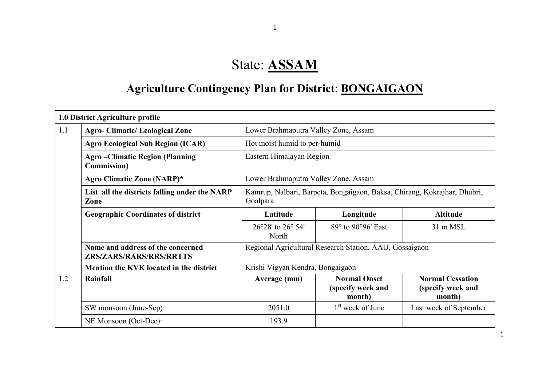# State: ASSAM

# Agriculture Contingency Plan for District: BONGAIGAON

|     | 1.0 District Agriculture profile                                    |                                                                                      |                                                         |                                                        |  |  |  |  |
|-----|---------------------------------------------------------------------|--------------------------------------------------------------------------------------|---------------------------------------------------------|--------------------------------------------------------|--|--|--|--|
| 1.1 | <b>Agro-Climatic/Ecological Zone</b>                                | Lower Brahmaputra Valley Zone, Assam                                                 |                                                         |                                                        |  |  |  |  |
|     | <b>Agro Ecological Sub Region (ICAR)</b>                            | Hot moist humid to per-humid                                                         |                                                         |                                                        |  |  |  |  |
|     | <b>Agro-Climatic Region (Planning</b><br><b>Commission</b> )        |                                                                                      | Eastern Himalayan Region                                |                                                        |  |  |  |  |
|     | Agro Climatic Zone (NARP)*                                          | Lower Brahmaputra Valley Zone, Assam                                                 |                                                         |                                                        |  |  |  |  |
|     | List all the districts falling under the NARP<br>Zone               | Kamrup, Nalbari, Barpeta, Bongaigaon, Baksa, Chirang, Kokrajhar, Dhubri,<br>Goalpara |                                                         |                                                        |  |  |  |  |
|     | <b>Geographic Coordinates of district</b>                           | Latitude                                                                             | Longitude                                               | <b>Altitude</b>                                        |  |  |  |  |
|     |                                                                     | 26°28' to 26° 54'<br>North                                                           | 89° to 90°96' East                                      | 31 m MSL                                               |  |  |  |  |
|     | Name and address of the concerned<br><b>ZRS/ZARS/RARS/RRS/RRTTS</b> |                                                                                      | Regional Agricultural Research Station, AAU, Gossaigaon |                                                        |  |  |  |  |
|     | Mention the KVK located in the district                             | Krishi Vigyan Kendra, Bongaigaon                                                     |                                                         |                                                        |  |  |  |  |
| 1.2 | Rainfall                                                            | Average (mm)                                                                         | <b>Normal Onset</b><br>(specify week and<br>month)      | <b>Normal Cessation</b><br>(specify week and<br>month) |  |  |  |  |
|     | SW monsoon (June-Sep):                                              | 2051.0                                                                               | 1 <sup>st</sup> week of June                            | Last week of September                                 |  |  |  |  |
|     | NE Monsoon (Oct-Dec):                                               | 193.9                                                                                |                                                         |                                                        |  |  |  |  |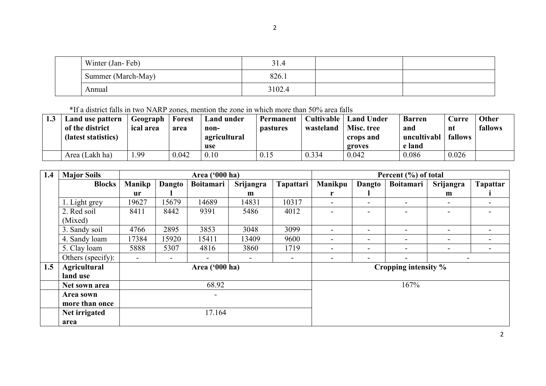| Winter (Jan-Feb)   | 31.4   |  |
|--------------------|--------|--|
| Summer (March-May) | 826.1  |  |
| Annual             | 3102.4 |  |

\*If a district falls in two NARP zones, mention the zone in which more than 50% area falls

| 1.3 | Land use pattern<br>of the district<br>(latest statistics) | Geograph<br><i>ical area</i> | <b>Forest</b><br>area | <b>Land under</b><br>non-<br>agricultural | Permanent<br><b>pastures</b> | Cultivable  <br>wasteland | <b>Land Under</b><br>Misc. tree<br>crops and | <b>Barren</b><br>and<br>uncultivabl | Curre<br>nt<br>fallows | <b>Other</b><br>fallows |
|-----|------------------------------------------------------------|------------------------------|-----------------------|-------------------------------------------|------------------------------|---------------------------|----------------------------------------------|-------------------------------------|------------------------|-------------------------|
|     |                                                            |                              |                       | use                                       |                              |                           | groves                                       | e land                              |                        |                         |
|     | Area (Lakh ha)                                             | . 99                         | 0.042                 | 0.10                                      | 0.15                         | 0.334                     | 0.042                                        | 0.086                               | 0.026                  |                         |

| 1.4 | <b>Major Soils</b>  |                          |        | Area ('000 ha)   |                          |                          | Percent (%) of total     |                          |                          |                          |                 |
|-----|---------------------|--------------------------|--------|------------------|--------------------------|--------------------------|--------------------------|--------------------------|--------------------------|--------------------------|-----------------|
|     | <b>Blocks</b>       | <b>Manikp</b>            | Dangto | <b>Boitamari</b> | Srijangra                | Tapattari                | Manikpu                  | Dangto                   | <b>Boitamari</b>         | Srijangra                | <b>Tapattar</b> |
|     |                     | <b>ur</b>                |        |                  | m                        |                          |                          |                          |                          | m                        |                 |
|     | 1. Light grey       | 19627                    | 15679  | 14689            | 14831                    | 10317                    | $\overline{\phantom{0}}$ | $\blacksquare$           | $\overline{\phantom{a}}$ | -                        |                 |
|     | 2. Red soil         | 8411                     | 8442   | 9391             | 5486                     | 4012                     |                          | -                        |                          |                          |                 |
|     | (Mixed)             |                          |        |                  |                          |                          |                          |                          |                          |                          |                 |
|     | 3. Sandy soil       | 4766                     | 2895   | 3853             | 3048                     | 3099                     | $\overline{\phantom{0}}$ | $\blacksquare$           | $\overline{\phantom{a}}$ | $\overline{\phantom{a}}$ |                 |
|     | 4. Sandy loam       | 17384                    | 15920  | 15411            | 13409                    | 9600                     | $\overline{\phantom{a}}$ | $\sim$                   | $\blacksquare$           | $\overline{\phantom{a}}$ |                 |
|     | 5. Clay loam        | 5888                     | 5307   | 4816             | 3860                     | 1719                     | $\overline{\phantom{0}}$ | ۰.                       | $\blacksquare$           | -                        |                 |
|     | Others (specify):   | $\overline{\phantom{a}}$ | -      | $\sim$           | $\overline{\phantom{a}}$ | $\overline{\phantom{a}}$ | -                        | $\overline{\phantom{0}}$ | $\,$                     | $\overline{\phantom{a}}$ |                 |
| 1.5 | <b>Agricultural</b> |                          |        | Area ('000 ha)   |                          |                          | Cropping intensity %     |                          |                          |                          |                 |
|     | land use            |                          |        |                  |                          |                          |                          |                          |                          |                          |                 |
|     | Net sown area       |                          |        | 68.92            |                          |                          |                          |                          | 167%                     |                          |                 |
|     | Area sown           |                          | Ξ.     |                  |                          |                          |                          |                          |                          |                          |                 |
|     | more than once      |                          |        |                  |                          |                          |                          |                          |                          |                          |                 |
|     | Net irrigated       |                          | 17.164 |                  |                          |                          |                          |                          |                          |                          |                 |
|     | area                |                          |        |                  |                          |                          |                          |                          |                          |                          |                 |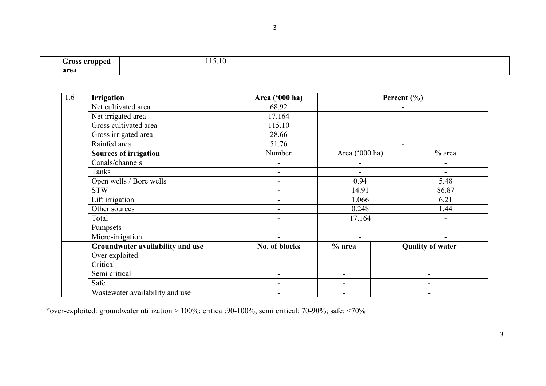| .rocc<br>onned.<br>$ -$ | 1.3.10 |  |
|-------------------------|--------|--|
| area                    |        |  |

3

| 1.6 | <b>Irrigation</b>                | Area ('000 ha)           |                              | Percent $(\% )$         |
|-----|----------------------------------|--------------------------|------------------------------|-------------------------|
|     | Net cultivated area              | 68.92                    |                              |                         |
|     | Net irrigated area               | 17.164                   |                              |                         |
|     | Gross cultivated area            | 115.10                   |                              | $\blacksquare$          |
|     | Gross irrigated area             | 28.66                    |                              |                         |
|     | Rainfed area                     | 51.76                    |                              |                         |
|     | <b>Sources of irrigation</b>     | Number                   | Area ('000 ha)               | $%$ area                |
|     | Canals/channels                  | $\blacksquare$           |                              |                         |
|     | Tanks                            | $\blacksquare$           |                              |                         |
|     | Open wells / Bore wells          | -                        | 0.94                         | 5.48                    |
|     | <b>STW</b>                       | $\blacksquare$           | 14.91                        | 86.87                   |
|     | Lift irrigation                  | $\blacksquare$           | 1.066                        | 6.21                    |
|     | Other sources                    | $\overline{\phantom{a}}$ | 0.248                        | 1.44                    |
|     | Total                            | $\blacksquare$           | 17.164                       |                         |
|     | Pumpsets                         | $\blacksquare$           | $\qquad \qquad \blacksquare$ |                         |
|     | Micro-irrigation                 | $\overline{\phantom{0}}$ | $\blacksquare$               |                         |
|     | Groundwater availability and use | No. of blocks            | $%$ area                     | <b>Quality of water</b> |
|     | Over exploited                   | -                        | $\blacksquare$               |                         |
|     | Critical                         | $\overline{\phantom{0}}$ |                              | ۰                       |
|     | Semi critical                    | -                        | $\overline{\phantom{0}}$     | -                       |
|     | Safe                             | $\overline{a}$           |                              | $\overline{a}$          |
|     | Wastewater availability and use  |                          |                              |                         |

\*over-exploited: groundwater utilization > 100%; critical:90-100%; semi critical: 70-90%; safe: <70%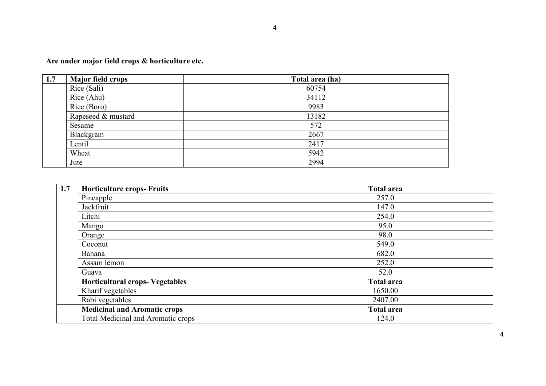Are under major field crops & horticulture etc.

| 1.7 | <b>Major field crops</b> | Total area (ha) |
|-----|--------------------------|-----------------|
|     | Rice (Sali)              | 60754           |
|     | Rice (Ahu)               | 34112           |
|     | Rice (Boro)              | 9983            |
|     | Rapeseed & mustard       | 13182           |
|     | Sesame                   | 572             |
|     | Blackgram                | 2667            |
|     | Lentil                   | 2417            |
|     | Wheat                    | 5942            |
|     | Jute                     | 2994            |

| 1.7 | <b>Horticulture crops- Fruits</b>         | <b>Total area</b> |
|-----|-------------------------------------------|-------------------|
|     | Pineapple                                 | 257.0             |
|     | Jackfruit                                 | 147.0             |
|     | Litchi                                    | 254.0             |
|     | Mango                                     | 95.0              |
|     | Orange                                    | 98.0              |
|     | Coconut                                   | 549.0             |
|     | Banana                                    | 682.0             |
|     | Assam lemon                               | 252.0             |
|     | Guava                                     | 52.0              |
|     | <b>Horticultural crops- Vegetables</b>    | <b>Total area</b> |
|     | Kharif vegetables                         | 1650.00           |
|     | Rabi vegetables                           | 2407.00           |
|     | <b>Medicinal and Aromatic crops</b>       | <b>Total area</b> |
|     | <b>Total Medicinal and Aromatic crops</b> | 124.0             |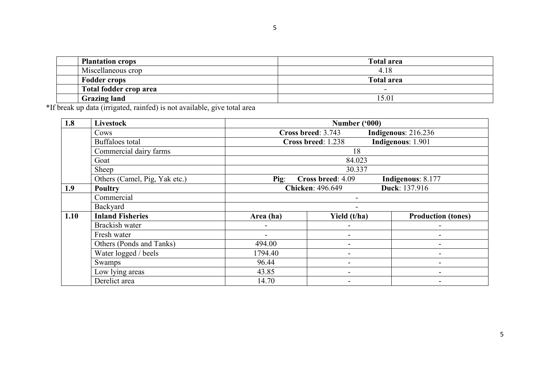| <b>Plantation crops</b> | <b>Total area</b>        |
|-------------------------|--------------------------|
| Miscellaneous crop      | 4.18                     |
| <b>Fodder crops</b>     | <b>Total area</b>        |
| Total fodder crop area  | $\overline{\phantom{0}}$ |
| <b>Grazing land</b>     | 5.01                     |

\*If break up data (irrigated, rainfed) is not available, give total area

| 1.8  | <b>Livestock</b>              | Number ('000)                             |                                          |                           |  |  |  |
|------|-------------------------------|-------------------------------------------|------------------------------------------|---------------------------|--|--|--|
|      | Cows                          | Cross breed: 3.743<br>Indigenous: 216.236 |                                          |                           |  |  |  |
|      | <b>Buffaloes</b> total        |                                           | Indigenous: 1.901<br>Cross breed: 1.238  |                           |  |  |  |
|      | Commercial dairy farms        | 18                                        |                                          |                           |  |  |  |
|      | Goat                          | 84.023                                    |                                          |                           |  |  |  |
|      | Sheep                         |                                           | 30.337                                   |                           |  |  |  |
|      | Others (Camel, Pig, Yak etc.) | $\sum$                                    | Cross breed: 4.09                        | Indigenous: 8.177         |  |  |  |
| 1.9  | <b>Poultry</b>                |                                           | Duck: 137.916<br><b>Chicken: 496.649</b> |                           |  |  |  |
|      | Commercial                    |                                           |                                          |                           |  |  |  |
|      | Backyard                      |                                           |                                          |                           |  |  |  |
| 1.10 | <b>Inland Fisheries</b>       | Area (ha)                                 | Yield (t/ha)                             | <b>Production (tones)</b> |  |  |  |
|      | Brackish water                |                                           |                                          |                           |  |  |  |
|      | Fresh water                   |                                           | $\qquad \qquad$                          |                           |  |  |  |
|      | Others (Ponds and Tanks)      | 494.00                                    |                                          |                           |  |  |  |
|      | Water logged / beels          | 1794.40                                   | $\qquad \qquad$                          |                           |  |  |  |
|      | Swamps                        | 96.44                                     | $\blacksquare$                           | $\overline{\phantom{0}}$  |  |  |  |
|      | Low lying areas               | 43.85                                     | $\blacksquare$                           | $\blacksquare$            |  |  |  |
|      | Derelict area                 | 14.70                                     | $\overline{\phantom{a}}$                 | $\overline{\phantom{0}}$  |  |  |  |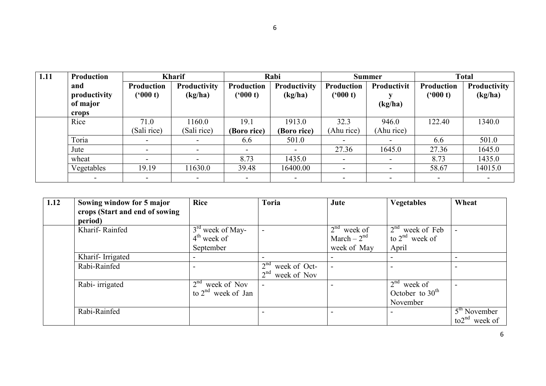| 1.11 | <b>Production</b>                        | <b>Kharif</b>                |                         | Rabi                         |                         | <b>Summer</b>                |                          | <b>Total</b>          |                         |
|------|------------------------------------------|------------------------------|-------------------------|------------------------------|-------------------------|------------------------------|--------------------------|-----------------------|-------------------------|
|      | and<br>productivity<br>of major<br>crops | <b>Production</b><br>(900 t) | Productivity<br>(kg/ha) | <b>Production</b><br>(900 t) | Productivity<br>(kg/ha) | <b>Production</b><br>(900 t) | Productivit<br>(kg/ha)   | Production<br>(900 t) | Productivity<br>(kg/ha) |
|      | Rice                                     | 71.0<br>(Sali rice)          | 1160.0<br>(Sali rice)   | 19.1<br>(Boro rice)          | 1913.0<br>(Boro rice)   | 32.3<br>(Ahu rice)           | 946.0<br>(Ahu rice)      | 122.40                | 1340.0                  |
|      | Toria                                    | $\sim$                       |                         | 6.6                          | 501.0                   |                              |                          | 6.6                   | 501.0                   |
|      | Jute                                     | -                            | -                       |                              |                         | 27.36                        | 1645.0                   | 27.36                 | 1645.0                  |
|      | wheat                                    | ۰                            |                         | 8.73                         | 1435.0                  | $\overline{\phantom{a}}$     | $\overline{\phantom{a}}$ | 8.73                  | 1435.0                  |
|      | Vegetables                               | 19.19                        | 11630.0                 | 39.48                        | 16400.00                |                              | $\overline{\phantom{a}}$ | 58.67                 | 14015.0                 |
|      |                                          |                              |                         |                              |                         |                              | -                        |                       |                         |

| 1.12 | Sowing window for 5 major      | <b>Rice</b>                    | <b>Toria</b>                    | Jute                     | <b>Vegetables</b>   | Wheat                               |
|------|--------------------------------|--------------------------------|---------------------------------|--------------------------|---------------------|-------------------------------------|
|      | crops (Start and end of sowing |                                |                                 |                          |                     |                                     |
|      | period)                        |                                |                                 |                          |                     |                                     |
|      | Kharif-Rainfed                 | $3rd$ week of May-             |                                 | $2nd$ week of            | $2nd$ week of Feb   |                                     |
|      |                                | $4th$ week of                  |                                 | March $-2nd$             | to $2^{nd}$ week of |                                     |
|      |                                | September                      |                                 | week of May              | April               |                                     |
|      | Kharif-Irrigated               |                                |                                 |                          |                     |                                     |
|      | Rabi-Rainfed                   |                                | 2 <sup>nd</sup><br>week of Oct- | $\overline{\phantom{a}}$ |                     |                                     |
|      |                                |                                | 2 <sup>nd</sup><br>week of Nov  |                          |                     |                                     |
|      | Rabi-irrigated                 | 2 <sup>nd</sup><br>week of Nov | $\overline{\phantom{0}}$        |                          | $2nd$ week of       |                                     |
|      |                                | to $2^{nd}$ week of Jan        |                                 |                          | October to $30th$   |                                     |
|      |                                |                                |                                 |                          | November            |                                     |
|      | Rabi-Rainfed                   |                                |                                 |                          |                     | $\overline{5}^{\text{th}}$ November |
|      |                                |                                |                                 |                          |                     | to $2^{nd}$ week of                 |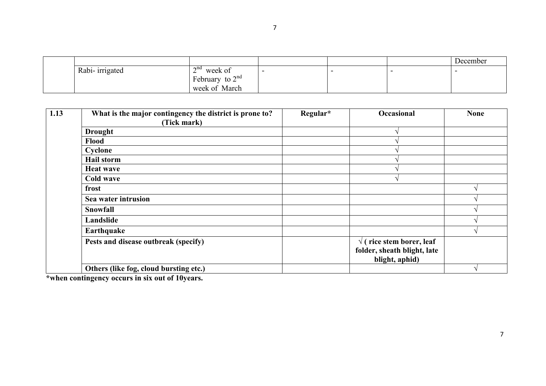|                 |                                                    |  | December |
|-----------------|----------------------------------------------------|--|----------|
| Rabi- irrigated | $\gamma$ nd<br>week of<br>$\overline{\phantom{0}}$ |  |          |
|                 | February to $2^{nd}$                               |  |          |
|                 | week of March                                      |  |          |

| 1.13 | What is the major contingency the district is prone to?<br>(Tick mark) | Regular* | Occasional                       | <b>None</b> |
|------|------------------------------------------------------------------------|----------|----------------------------------|-------------|
|      | <b>Drought</b>                                                         |          |                                  |             |
|      | Flood                                                                  |          |                                  |             |
|      | Cyclone                                                                |          |                                  |             |
|      | <b>Hail storm</b>                                                      |          |                                  |             |
|      | <b>Heat wave</b>                                                       |          |                                  |             |
|      | Cold wave                                                              |          |                                  |             |
|      | frost                                                                  |          |                                  |             |
|      | Sea water intrusion                                                    |          |                                  |             |
|      | <b>Snowfall</b>                                                        |          |                                  |             |
|      | Landslide                                                              |          |                                  |             |
|      | Earthquake                                                             |          |                                  |             |
|      | Pests and disease outbreak (specify)                                   |          | $\sqrt{}$ (rice stem borer, leaf |             |
|      |                                                                        |          | folder, sheath blight, late      |             |
|      |                                                                        |          | blight, aphid)                   |             |
|      | Others (like fog, cloud bursting etc.)                                 |          |                                  |             |

\*when contingency occurs in six out of 10years.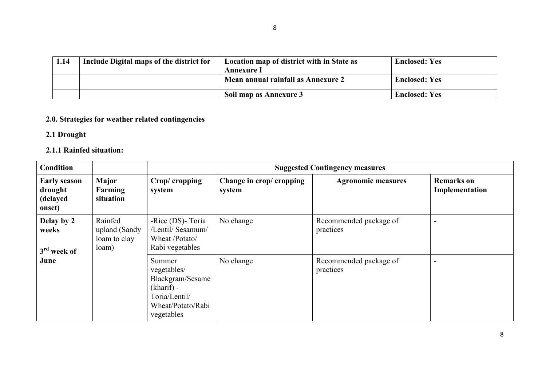| 1.14 | Include Digital maps of the district for | Location map of district with in State as<br>Annexure 1 | <b>Enclosed: Yes</b> |
|------|------------------------------------------|---------------------------------------------------------|----------------------|
|      |                                          | Mean annual rainfall as Annexure 2                      | <b>Enclosed: Yes</b> |
|      |                                          | Soil map as Annexure 3                                  | <b>Enclosed: Yes</b> |

# 2.0. Strategies for weather related contingencies

# 2.1 Drought

# 2.1.1 Rainfed situation:

| <b>Condition</b>                                     |                                                   | <b>Suggested Contingency measures</b>                                                                         |                                   |                                     |                                     |  |
|------------------------------------------------------|---------------------------------------------------|---------------------------------------------------------------------------------------------------------------|-----------------------------------|-------------------------------------|-------------------------------------|--|
| <b>Early season</b><br>drought<br>(delayed<br>onset) | Major<br>Farming<br>situation                     | Crop/cropping<br>system                                                                                       | Change in crop/cropping<br>system | <b>Agronomic measures</b>           | <b>Remarks</b> on<br>Implementation |  |
| Delay by 2<br>weeks<br>$3rd$ week of                 | Rainfed<br>upland (Sandy<br>loam to clay<br>loam) | -Rice (DS)- Toria<br>/Lentil/ Sesamum/<br>Wheat /Potato/<br>Rabi vegetables                                   | No change                         | Recommended package of<br>practices |                                     |  |
| June                                                 |                                                   | Summer<br>vegetables/<br>Blackgram/Sesame<br>$(kharif)$ -<br>Toria/Lentil/<br>Wheat/Potato/Rabi<br>vegetables | No change                         | Recommended package of<br>practices |                                     |  |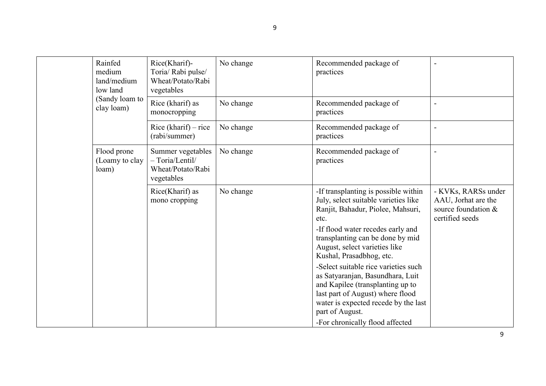| Rainfed<br>medium<br>land/medium<br>low land | Rice(Kharif)-<br>Toria/ Rabi pulse/<br>Wheat/Potato/Rabi<br>vegetables    | No change | Recommended package of<br>practices                                                                                                                                                                                                                                                                                                                                                                                                                                                                               |                                                                                      |
|----------------------------------------------|---------------------------------------------------------------------------|-----------|-------------------------------------------------------------------------------------------------------------------------------------------------------------------------------------------------------------------------------------------------------------------------------------------------------------------------------------------------------------------------------------------------------------------------------------------------------------------------------------------------------------------|--------------------------------------------------------------------------------------|
| (Sandy loam to<br>clay loam)                 | Rice (kharif) as<br>monocropping                                          | No change | Recommended package of<br>practices                                                                                                                                                                                                                                                                                                                                                                                                                                                                               |                                                                                      |
|                                              | Rice (kharif) – rice<br>(rabi/summer)                                     | No change | Recommended package of<br>practices                                                                                                                                                                                                                                                                                                                                                                                                                                                                               |                                                                                      |
| Flood prone<br>(Loamy to clay<br>loam)       | Summer vegetables<br>$- Toria/Lentil/$<br>Wheat/Potato/Rabi<br>vegetables | No change | Recommended package of<br>practices                                                                                                                                                                                                                                                                                                                                                                                                                                                                               | $\blacksquare$                                                                       |
|                                              | Rice(Kharif) as<br>mono cropping                                          | No change | -If transplanting is possible within<br>July, select suitable varieties like<br>Ranjit, Bahadur, Piolee, Mahsuri,<br>etc.<br>-If flood water recedes early and<br>transplanting can be done by mid<br>August, select varieties like<br>Kushal, Prasadbhog, etc.<br>-Select suitable rice varieties such<br>as Satyaranjan, Basundhara, Luit<br>and Kapilee (transplanting up to<br>last part of August) where flood<br>water is expected recede by the last<br>part of August.<br>-For chronically flood affected | - KVKs, RARSs under<br>AAU, Jorhat are the<br>source foundation &<br>certified seeds |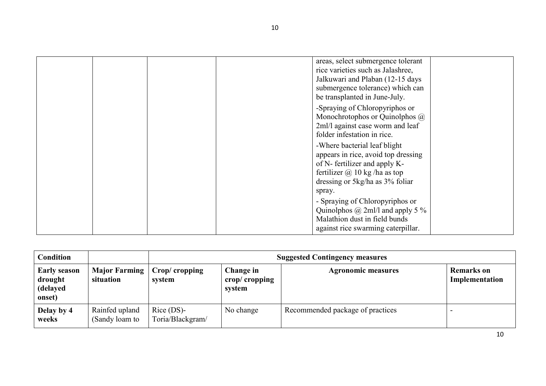|  |  | areas, select submergence tolerant<br>rice varieties such as Jalashree,<br>Jalkuwari and Plaban (12-15 days<br>submergence tolerance) which can<br>be transplanted in June-July. |  |
|--|--|----------------------------------------------------------------------------------------------------------------------------------------------------------------------------------|--|
|  |  | -Spraying of Chloropyriphos or<br>Monochrotophos or Quinolphos @<br>2ml/l against case worm and leaf<br>folder infestation in rice.                                              |  |
|  |  | -Where bacterial leaf blight<br>appears in rice, avoid top dressing<br>of N- fertilizer and apply K-<br>fertilizer $\omega$ 10 kg/ha as top<br>dressing or 5kg/ha as 3% foliar   |  |
|  |  | spray.<br>- Spraying of Chloropyriphos or<br>Quinolphos $\omega$ 2ml/l and apply 5 %<br>Malathion dust in field bunds<br>against rice swarming caterpillar.                      |  |

| Condition                                            |                                   |                                  | <b>Suggested Contingency measures</b>             |                                  |                                     |  |  |
|------------------------------------------------------|-----------------------------------|----------------------------------|---------------------------------------------------|----------------------------------|-------------------------------------|--|--|
| <b>Early season</b><br>drought<br>(delayed<br>onset) | <b>Major Farming</b><br>situation | Crop/cropping<br>system          | Change in<br>crop/ $\mathbf{c}$ ropping<br>system | <b>Agronomic measures</b>        | <b>Remarks</b> on<br>Implementation |  |  |
| Delay by 4<br>weeks                                  | Rainfed upland<br>(Sandy loam to  | $Rice$ (DS)-<br>Toria/Blackgram/ | No change                                         | Recommended package of practices |                                     |  |  |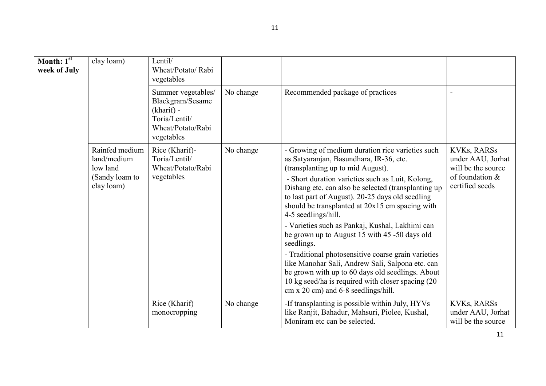| Month: $1st$<br>week of July | clay loam)                                                                | Lentil/<br>Wheat/Potato/Rabi<br>vegetables                                                               |           |                                                                                                                                                                                                                                                                                                                                                                                                                                                                                                                                                                                                                                                                                                                                                             |                                                                                                     |
|------------------------------|---------------------------------------------------------------------------|----------------------------------------------------------------------------------------------------------|-----------|-------------------------------------------------------------------------------------------------------------------------------------------------------------------------------------------------------------------------------------------------------------------------------------------------------------------------------------------------------------------------------------------------------------------------------------------------------------------------------------------------------------------------------------------------------------------------------------------------------------------------------------------------------------------------------------------------------------------------------------------------------------|-----------------------------------------------------------------------------------------------------|
|                              |                                                                           | Summer vegetables/<br>Blackgram/Sesame<br>(kharif) -<br>Toria/Lentil/<br>Wheat/Potato/Rabi<br>vegetables | No change | Recommended package of practices                                                                                                                                                                                                                                                                                                                                                                                                                                                                                                                                                                                                                                                                                                                            | $\overline{\phantom{0}}$                                                                            |
|                              | Rainfed medium<br>land/medium<br>low land<br>(Sandy loam to<br>clay loam) | Rice (Kharif)-<br>Toria/Lentil/<br>Wheat/Potato/Rabi<br>vegetables                                       | No change | - Growing of medium duration rice varieties such<br>as Satyaranjan, Basundhara, IR-36, etc.<br>(transplanting up to mid August).<br>- Short duration varieties such as Luit, Kolong,<br>Dishang etc. can also be selected (transplanting up)<br>to last part of August). 20-25 days old seedling<br>should be transplanted at 20x15 cm spacing with<br>4-5 seedlings/hill.<br>- Varieties such as Pankaj, Kushal, Lakhimi can<br>be grown up to August 15 with 45 -50 days old<br>seedlings.<br>- Traditional photosensitive coarse grain varieties<br>like Manohar Sali, Andrew Sali, Salpona etc. can<br>be grown with up to 60 days old seedlings. About<br>10 kg seed/ha is required with closer spacing (20)<br>$cm x 20 cm$ ) and 6-8 seedlings/hill. | <b>KVKs, RARSs</b><br>under AAU, Jorhat<br>will be the source<br>of foundation &<br>certified seeds |
|                              |                                                                           | Rice (Kharif)<br>monocropping                                                                            | No change | -If transplanting is possible within July, HYVs<br>like Ranjit, Bahadur, Mahsuri, Piolee, Kushal,<br>Moniram etc can be selected.                                                                                                                                                                                                                                                                                                                                                                                                                                                                                                                                                                                                                           | <b>KVKs, RARSs</b><br>under AAU, Jorhat<br>will be the source                                       |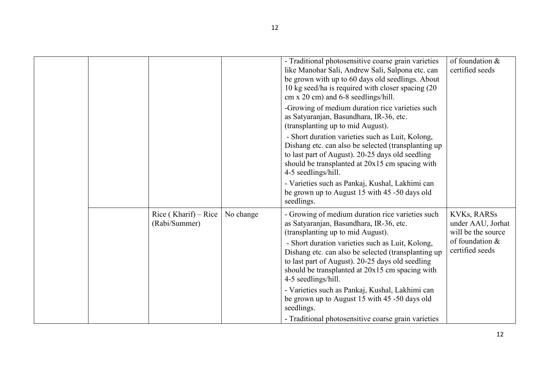|  |                                       |           | - Traditional photosensitive coarse grain varieties<br>like Manohar Sali, Andrew Sali, Salpona etc. can<br>be grown with up to 60 days old seedlings. About<br>10 kg seed/ha is required with closer spacing (20)<br>cm x 20 cm) and 6-8 seedlings/hill.<br>-Growing of medium duration rice varieties such<br>as Satyaranjan, Basundhara, IR-36, etc.<br>(transplanting up to mid August).<br>- Short duration varieties such as Luit, Kolong,<br>Dishang etc. can also be selected (transplanting up)<br>to last part of August). 20-25 days old seedling<br>should be transplanted at 20x15 cm spacing with<br>4-5 seedlings/hill.<br>- Varieties such as Pankaj, Kushal, Lakhimi can<br>be grown up to August 15 with 45 -50 days old<br>seedlings. | of foundation &<br>certified seeds                                                                  |
|--|---------------------------------------|-----------|---------------------------------------------------------------------------------------------------------------------------------------------------------------------------------------------------------------------------------------------------------------------------------------------------------------------------------------------------------------------------------------------------------------------------------------------------------------------------------------------------------------------------------------------------------------------------------------------------------------------------------------------------------------------------------------------------------------------------------------------------------|-----------------------------------------------------------------------------------------------------|
|  | Rice (Kharif) – Rice<br>(Rabi/Summer) | No change | - Growing of medium duration rice varieties such<br>as Satyaranjan, Basundhara, IR-36, etc.<br>(transplanting up to mid August).<br>- Short duration varieties such as Luit, Kolong,<br>Dishang etc. can also be selected (transplanting up<br>to last part of August). 20-25 days old seedling<br>should be transplanted at 20x15 cm spacing with<br>4-5 seedlings/hill.<br>- Varieties such as Pankaj, Kushal, Lakhimi can<br>be grown up to August 15 with 45 -50 days old<br>seedlings.<br>- Traditional photosensitive coarse grain varieties                                                                                                                                                                                                      | <b>KVKs, RARSs</b><br>under AAU, Jorhat<br>will be the source<br>of foundation &<br>certified seeds |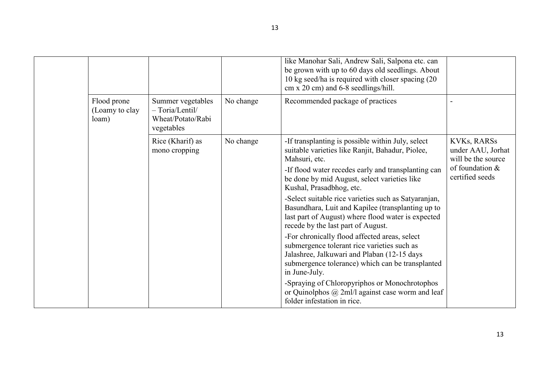|                                        |                                                                           |           | like Manohar Sali, Andrew Sali, Salpona etc. can<br>be grown with up to 60 days old seedlings. About<br>10 kg seed/ha is required with closer spacing (20)<br>$cm x 20 cm$ ) and 6-8 seedlings/hill.                                                                                                                                                                                                                                                                                                                                                                                                                                                                                                                                                                                                                           |                                                                                                     |
|----------------------------------------|---------------------------------------------------------------------------|-----------|--------------------------------------------------------------------------------------------------------------------------------------------------------------------------------------------------------------------------------------------------------------------------------------------------------------------------------------------------------------------------------------------------------------------------------------------------------------------------------------------------------------------------------------------------------------------------------------------------------------------------------------------------------------------------------------------------------------------------------------------------------------------------------------------------------------------------------|-----------------------------------------------------------------------------------------------------|
| Flood prone<br>(Loamy to clay<br>loam) | Summer vegetables<br>$- Toria/Lentil/$<br>Wheat/Potato/Rabi<br>vegetables | No change | Recommended package of practices                                                                                                                                                                                                                                                                                                                                                                                                                                                                                                                                                                                                                                                                                                                                                                                               |                                                                                                     |
|                                        | Rice (Kharif) as<br>mono cropping                                         | No change | -If transplanting is possible within July, select<br>suitable varieties like Ranjit, Bahadur, Piolee,<br>Mahsuri, etc.<br>-If flood water recedes early and transplanting can<br>be done by mid August, select varieties like<br>Kushal, Prasadbhog, etc.<br>-Select suitable rice varieties such as Satyaranjan,<br>Basundhara, Luit and Kapilee (transplanting up to<br>last part of August) where flood water is expected<br>recede by the last part of August.<br>-For chronically flood affected areas, select<br>submergence tolerant rice varieties such as<br>Jalashree, Jalkuwari and Plaban (12-15 days<br>submergence tolerance) which can be transplanted<br>in June-July.<br>-Spraying of Chloropyriphos or Monochrotophos<br>or Quinolphos $(a)$ 2ml/l against case worm and leaf<br>folder infestation in rice. | <b>KVKs, RARSs</b><br>under AAU, Jorhat<br>will be the source<br>of foundation &<br>certified seeds |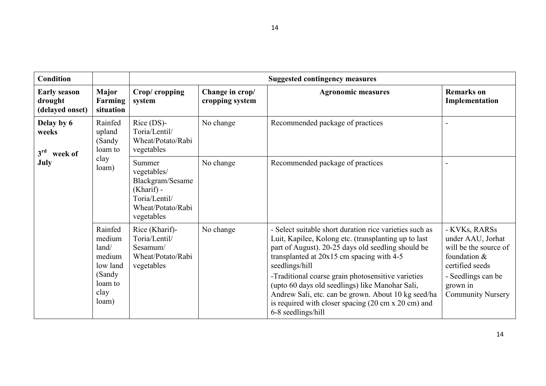| Condition                                                        |                                                                                        |                                                                                                               |                                    | <b>Suggested contingency measures</b>                                                                                                                                                                                                                                                                                                                                                                                                                                                                    |                                                                                                                                                              |
|------------------------------------------------------------------|----------------------------------------------------------------------------------------|---------------------------------------------------------------------------------------------------------------|------------------------------------|----------------------------------------------------------------------------------------------------------------------------------------------------------------------------------------------------------------------------------------------------------------------------------------------------------------------------------------------------------------------------------------------------------------------------------------------------------------------------------------------------------|--------------------------------------------------------------------------------------------------------------------------------------------------------------|
| <b>Early season</b><br>drought<br>(delayed onset)                | <b>Major</b><br>Farming<br>situation                                                   | Crop/cropping<br>system                                                                                       | Change in crop/<br>cropping system | <b>Agronomic measures</b>                                                                                                                                                                                                                                                                                                                                                                                                                                                                                | <b>Remarks</b> on<br>Implementation                                                                                                                          |
| Delay by 6<br>weeks<br>3 <sup>rd</sup><br>week of<br><b>July</b> | Rainfed<br>upland<br>(Sandy<br>loam to<br>clay<br>loam)                                | $Rice$ (DS)-<br>Toria/Lentil/<br>Wheat/Potato/Rabi<br>vegetables                                              | No change                          | Recommended package of practices                                                                                                                                                                                                                                                                                                                                                                                                                                                                         |                                                                                                                                                              |
|                                                                  |                                                                                        | Summer<br>vegetables/<br>Blackgram/Sesame<br>$(Kharif)$ -<br>Toria/Lentil/<br>Wheat/Potato/Rabi<br>vegetables | No change                          | Recommended package of practices                                                                                                                                                                                                                                                                                                                                                                                                                                                                         |                                                                                                                                                              |
|                                                                  | Rainfed<br>medium<br>land/<br>medium<br>low land<br>(Sandy<br>loam to<br>clay<br>loam) | Rice (Kharif)-<br>Toria/Lentil/<br>Sesamum/<br>Wheat/Potato/Rabi<br>vegetables                                | No change                          | - Select suitable short duration rice varieties such as<br>Luit, Kapilee, Kolong etc. (transplanting up to last<br>part of August). 20-25 days old seedling should be<br>transplanted at 20x15 cm spacing with 4-5<br>seedlings/hill<br>-Traditional coarse grain photosensitive varieties<br>(upto 60 days old seedlings) like Manohar Sali,<br>Andrew Sali, etc. can be grown. About 10 kg seed/ha<br>is required with closer spacing $(20 \text{ cm} \times 20 \text{ cm})$ and<br>6-8 seedlings/hill | - KVKs, RARSs<br>under AAU, Jorhat<br>will be the source of<br>foundation &<br>certified seeds<br>- Seedlings can be<br>grown in<br><b>Community Nursery</b> |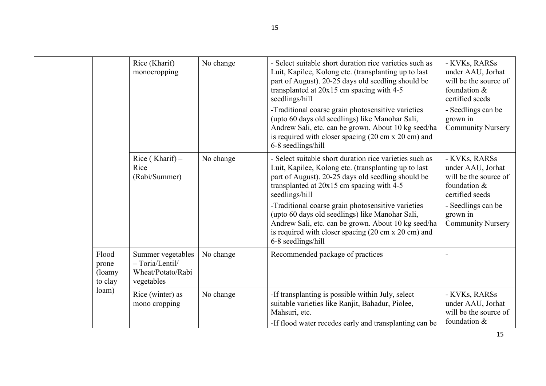|  |                                              | Rice (Kharif)<br>monocropping                                             | No change | - Select suitable short duration rice varieties such as<br>Luit, Kapilee, Kolong etc. (transplanting up to last<br>part of August). 20-25 days old seedling should be<br>transplanted at 20x15 cm spacing with 4-5<br>seedlings/hill<br>-Traditional coarse grain photosensitive varieties<br>(upto 60 days old seedlings) like Manohar Sali,<br>Andrew Sali, etc. can be grown. About 10 kg seed/ha<br>is required with closer spacing $(20 \text{ cm} \times 20 \text{ cm})$ and<br>6-8 seedlings/hill | - KVKs, RARSs<br>under AAU, Jorhat<br>will be the source of<br>foundation &<br>certified seeds<br>- Seedlings can be<br>grown in<br><b>Community Nursery</b> |
|--|----------------------------------------------|---------------------------------------------------------------------------|-----------|----------------------------------------------------------------------------------------------------------------------------------------------------------------------------------------------------------------------------------------------------------------------------------------------------------------------------------------------------------------------------------------------------------------------------------------------------------------------------------------------------------|--------------------------------------------------------------------------------------------------------------------------------------------------------------|
|  |                                              | Rice (Kharif) $-$<br>Rice<br>(Rabi/Summer)                                | No change | - Select suitable short duration rice varieties such as<br>Luit, Kapilee, Kolong etc. (transplanting up to last<br>part of August). 20-25 days old seedling should be<br>transplanted at $20x15$ cm spacing with 4-5<br>seedlings/hill<br>-Traditional coarse grain photosensitive varieties<br>(upto 60 days old seedlings) like Manohar Sali,<br>Andrew Sali, etc. can be grown. About 10 kg seed/ha<br>is required with closer spacing $(20 \text{ cm} \times 20 \text{ cm})$ and                     | - KVKs, RARSs<br>under AAU, Jorhat<br>will be the source of<br>foundation &<br>certified seeds<br>- Seedlings can be<br>grown in<br><b>Community Nursery</b> |
|  |                                              |                                                                           |           | 6-8 seedlings/hill                                                                                                                                                                                                                                                                                                                                                                                                                                                                                       |                                                                                                                                                              |
|  | Flood<br>prone<br>(loamy<br>to clay<br>loam) | Summer vegetables<br>$- Toria/Lentil/$<br>Wheat/Potato/Rabi<br>vegetables | No change | Recommended package of practices                                                                                                                                                                                                                                                                                                                                                                                                                                                                         |                                                                                                                                                              |
|  |                                              | Rice (winter) as<br>mono cropping                                         | No change | -If transplanting is possible within July, select<br>suitable varieties like Ranjit, Bahadur, Piolee,<br>Mahsuri, etc.<br>-If flood water recedes early and transplanting can be                                                                                                                                                                                                                                                                                                                         | - KVKs, RARSs<br>under AAU, Jorhat<br>will be the source of<br>foundation &                                                                                  |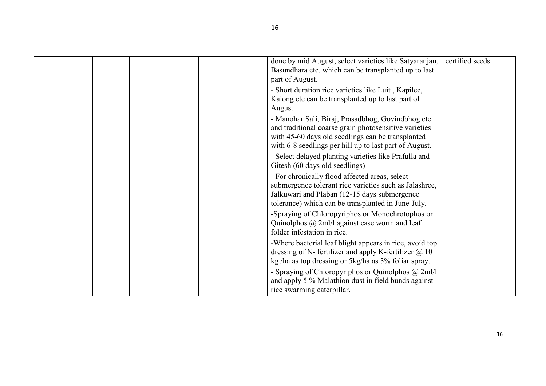|  |  | done by mid August, select varieties like Satyaranjan,<br>Basundhara etc. which can be transplanted up to last<br>part of August.                                                                                          | certified seeds |
|--|--|----------------------------------------------------------------------------------------------------------------------------------------------------------------------------------------------------------------------------|-----------------|
|  |  | - Short duration rice varieties like Luit, Kapilee,<br>Kalong etc can be transplanted up to last part of<br>August                                                                                                         |                 |
|  |  | - Manohar Sali, Biraj, Prasadbhog, Govindbhog etc.<br>and traditional coarse grain photosensitive varieties<br>with 45-60 days old seedlings can be transplanted<br>with 6-8 seedlings per hill up to last part of August. |                 |
|  |  | - Select delayed planting varieties like Prafulla and<br>Gitesh (60 days old seedlings)                                                                                                                                    |                 |
|  |  | -For chronically flood affected areas, select<br>submergence tolerant rice varieties such as Jalashree,<br>Jalkuwari and Plaban (12-15 days submergence<br>tolerance) which can be transplanted in June-July.              |                 |
|  |  | -Spraying of Chloropyriphos or Monochrotophos or<br>Quinolphos $\omega$ 2ml/l against case worm and leaf<br>folder infestation in rice.                                                                                    |                 |
|  |  | -Where bacterial leaf blight appears in rice, avoid top<br>dressing of N- fertilizer and apply K-fertilizer $@10$<br>kg/ha as top dressing or 5kg/ha as 3% foliar spray.                                                   |                 |
|  |  | - Spraying of Chloropyriphos or Quinolphos @ 2ml/l<br>and apply 5 % Malathion dust in field bunds against<br>rice swarming caterpillar.                                                                                    |                 |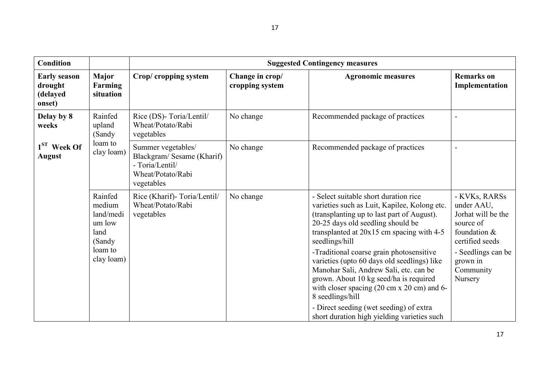| <b>Condition</b>                                     |                                                                                      | <b>Suggested Contingency measures</b>                                                                 |                                    |                                                                                                                                                                                                                                                                      |                                                                                                   |  |  |
|------------------------------------------------------|--------------------------------------------------------------------------------------|-------------------------------------------------------------------------------------------------------|------------------------------------|----------------------------------------------------------------------------------------------------------------------------------------------------------------------------------------------------------------------------------------------------------------------|---------------------------------------------------------------------------------------------------|--|--|
| <b>Early season</b><br>drought<br>(delayed<br>onset) | <b>Major</b><br>Farming<br>situation                                                 | Crop/ cropping system                                                                                 | Change in crop/<br>cropping system | <b>Agronomic measures</b>                                                                                                                                                                                                                                            | <b>Remarks</b> on<br>Implementation                                                               |  |  |
| Delay by 8<br>weeks                                  | Rainfed<br>upland<br>(Sandy                                                          | Rice (DS)-Toria/Lentil/<br>Wheat/Potato/Rabi<br>vegetables                                            | No change                          | Recommended package of practices                                                                                                                                                                                                                                     |                                                                                                   |  |  |
| $1ST$ Week Of<br><b>August</b>                       | loam to<br>clay loam)                                                                | Summer vegetables/<br>Blackgram/Sesame (Kharif)<br>- Toria/Lentil/<br>Wheat/Potato/Rabi<br>vegetables | No change                          | Recommended package of practices                                                                                                                                                                                                                                     |                                                                                                   |  |  |
|                                                      | Rainfed<br>medium<br>land/medi<br>um low<br>land<br>(Sandy)<br>loam to<br>clay loam) | Rice (Kharif)-Toria/Lentil/<br>Wheat/Potato/Rabi<br>vegetables                                        | No change                          | - Select suitable short duration rice<br>varieties such as Luit, Kapilee, Kolong etc.<br>(transplanting up to last part of August).<br>20-25 days old seedling should be<br>transplanted at $20x15$ cm spacing with 4-5<br>seedlings/hill                            | - KVKs, RARSs<br>under AAU,<br>Jorhat will be the<br>source of<br>foundation &<br>certified seeds |  |  |
|                                                      |                                                                                      |                                                                                                       |                                    | -Traditional coarse grain photosensitive<br>varieties (upto 60 days old seedlings) like<br>Manohar Sali, Andrew Sali, etc. can be<br>grown. About 10 kg seed/ha is required<br>with closer spacing $(20 \text{ cm} \times 20 \text{ cm})$ and 6-<br>8 seedlings/hill | - Seedlings can be<br>grown in<br>Community<br>Nursery                                            |  |  |
|                                                      |                                                                                      |                                                                                                       |                                    | - Direct seeding (wet seeding) of extra<br>short duration high yielding varieties such                                                                                                                                                                               |                                                                                                   |  |  |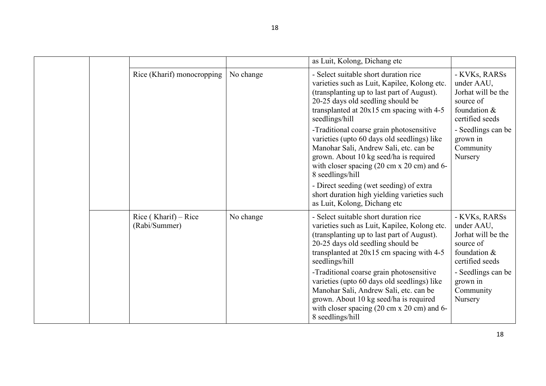|                                       |           | as Luit, Kolong, Dichang etc                                                                                                                                                                                                                                                                                                                                                                                                                                                                                                                               |                                                                                                                                                             |
|---------------------------------------|-----------|------------------------------------------------------------------------------------------------------------------------------------------------------------------------------------------------------------------------------------------------------------------------------------------------------------------------------------------------------------------------------------------------------------------------------------------------------------------------------------------------------------------------------------------------------------|-------------------------------------------------------------------------------------------------------------------------------------------------------------|
| Rice (Kharif) monocropping            | No change | - Select suitable short duration rice<br>varieties such as Luit, Kapilee, Kolong etc.<br>(transplanting up to last part of August).<br>20-25 days old seedling should be<br>transplanted at 20x15 cm spacing with 4-5<br>seedlings/hill<br>-Traditional coarse grain photosensitive<br>varieties (upto 60 days old seedlings) like<br>Manohar Sali, Andrew Sali, etc. can be<br>grown. About 10 kg seed/ha is required<br>with closer spacing $(20 \text{ cm} \times 20 \text{ cm})$ and 6-<br>8 seedlings/hill<br>- Direct seeding (wet seeding) of extra | - KVKs, RARSs<br>under AAU,<br>Jorhat will be the<br>source of<br>foundation &<br>certified seeds<br>- Seedlings can be<br>grown in<br>Community<br>Nursery |
|                                       |           | short duration high yielding varieties such<br>as Luit, Kolong, Dichang etc                                                                                                                                                                                                                                                                                                                                                                                                                                                                                |                                                                                                                                                             |
| Rice (Kharif) – Rice<br>(Rabi/Summer) | No change | - Select suitable short duration rice<br>varieties such as Luit, Kapilee, Kolong etc.<br>(transplanting up to last part of August).<br>20-25 days old seedling should be<br>transplanted at $20x15$ cm spacing with 4-5<br>seedlings/hill                                                                                                                                                                                                                                                                                                                  | - KVKs, RARSs<br>under AAU,<br>Jorhat will be the<br>source of<br>foundation &<br>certified seeds                                                           |
|                                       |           | -Traditional coarse grain photosensitive<br>varieties (upto 60 days old seedlings) like<br>Manohar Sali, Andrew Sali, etc. can be<br>grown. About 10 kg seed/ha is required<br>with closer spacing $(20 \text{ cm} \times 20 \text{ cm})$ and 6-<br>8 seedlings/hill                                                                                                                                                                                                                                                                                       | - Seedlings can be<br>grown in<br>Community<br>Nursery                                                                                                      |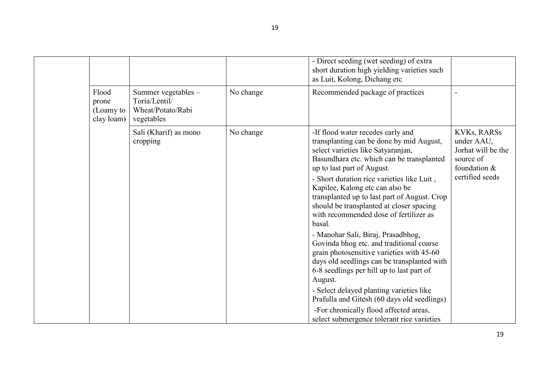|                                           |                                                                         |           | - Direct seeding (wet seeding) of extra<br>short duration high yielding varieties such<br>as Luit, Kolong, Dichang etc                                                                                                                                                                                                                                                                                                                                                                                                                                                                                                                                                                                                                                           |                                                                                                          |
|-------------------------------------------|-------------------------------------------------------------------------|-----------|------------------------------------------------------------------------------------------------------------------------------------------------------------------------------------------------------------------------------------------------------------------------------------------------------------------------------------------------------------------------------------------------------------------------------------------------------------------------------------------------------------------------------------------------------------------------------------------------------------------------------------------------------------------------------------------------------------------------------------------------------------------|----------------------------------------------------------------------------------------------------------|
| Flood<br>prone<br>(Loamy to<br>clay loam) | Summer vegetables -<br>Toria/Lentil/<br>Wheat/Potato/Rabi<br>vegetables | No change | Recommended package of practices                                                                                                                                                                                                                                                                                                                                                                                                                                                                                                                                                                                                                                                                                                                                 |                                                                                                          |
|                                           | Sali (Kharif) as mono<br>cropping                                       | No change | -If flood water recedes early and<br>transplanting can be done by mid August,<br>select varieties like Satyaranjan,<br>Basundhara etc. which can be transplanted<br>up to last part of August.<br>- Short duration rice varieties like Luit,<br>Kapilee, Kalong etc can also be<br>transplanted up to last part of August. Crop<br>should be transplanted at closer spacing<br>with recommended dose of fertilizer as<br>basal.<br>- Manohar Sali, Biraj, Prasadbhog,<br>Govinda bhog etc. and traditional coarse<br>grain photosensitive varieties with 45-60<br>days old seedlings can be transplanted with<br>6-8 seedlings per hill up to last part of<br>August.<br>- Select delayed planting varieties like<br>Prafulla and Gitesh (60 days old seedlings) | <b>KVKs, RARSs</b><br>under AAU,<br>Jorhat will be the<br>source of<br>foundation $&$<br>certified seeds |
|                                           |                                                                         |           | -For chronically flood affected areas,<br>select submergence tolerant rice varieties                                                                                                                                                                                                                                                                                                                                                                                                                                                                                                                                                                                                                                                                             |                                                                                                          |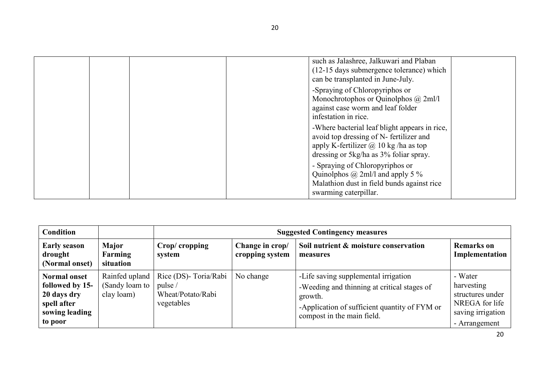|  |  | such as Jalashree, Jalkuwari and Plaban<br>(12-15 days submergence tolerance) which<br>can be transplanted in June-July.                                                          |  |
|--|--|-----------------------------------------------------------------------------------------------------------------------------------------------------------------------------------|--|
|  |  | -Spraying of Chloropyriphos or<br>Monochrotophos or Quinolphos $\omega$ 2ml/l<br>against case worm and leaf folder<br>infestation in rice.                                        |  |
|  |  | -Where bacterial leaf blight appears in rice,<br>avoid top dressing of N- fertilizer and<br>apply K-fertilizer $\omega$ 10 kg/ha as top<br>dressing or 5kg/ha as 3% foliar spray. |  |
|  |  | - Spraying of Chloropyriphos or<br>Quinolphos $\omega$ 2ml/l and apply 5 %<br>Malathion dust in field bunds against rice<br>swarming caterpillar.                                 |  |

| <b>Condition</b>                                                                                  |                                                |                                                                     | <b>Suggested Contingency measures</b> |                                                                                                                                                                               |                                                                                                   |  |  |
|---------------------------------------------------------------------------------------------------|------------------------------------------------|---------------------------------------------------------------------|---------------------------------------|-------------------------------------------------------------------------------------------------------------------------------------------------------------------------------|---------------------------------------------------------------------------------------------------|--|--|
| <b>Early season</b><br>drought<br>(Normal onset)                                                  | Major<br>Farming<br>situation                  | Crop/cropping<br>system                                             | Change in crop/<br>cropping system    | Soil nutrient & moisture conservation<br>measures                                                                                                                             | <b>Remarks</b> on<br>Implementation                                                               |  |  |
| <b>Normal onset</b><br>followed by 15-<br>20 days dry<br>spell after<br>sowing leading<br>to poor | Rainfed upland<br>(Sandy loam to<br>clay loam) | Rice (DS)- Toria/Rabi<br>pulse /<br>Wheat/Potato/Rabi<br>vegetables | No change                             | -Life saving supplemental irrigation<br>-Weeding and thinning at critical stages of<br>growth.<br>-Application of sufficient quantity of FYM or<br>compost in the main field. | - Water<br>harvesting<br>structures under<br>NREGA for life<br>saving irrigation<br>- Arrangement |  |  |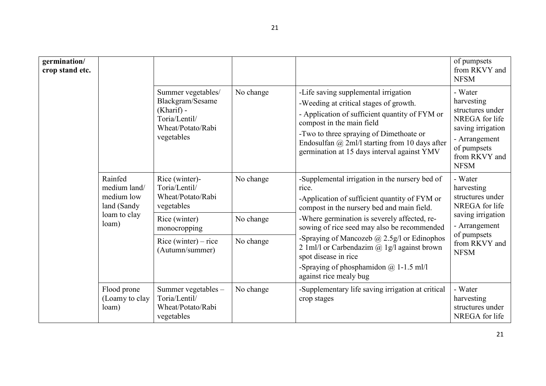| germination/<br>crop stand etc. |                                                                               |                                                                                                            |           |                                                                                                                                                                                                                                                                                                                                                                                                                                                                        | of pumpsets<br>from RKVY and<br><b>NFSM</b>                                                                                                      |
|---------------------------------|-------------------------------------------------------------------------------|------------------------------------------------------------------------------------------------------------|-----------|------------------------------------------------------------------------------------------------------------------------------------------------------------------------------------------------------------------------------------------------------------------------------------------------------------------------------------------------------------------------------------------------------------------------------------------------------------------------|--------------------------------------------------------------------------------------------------------------------------------------------------|
|                                 |                                                                               | Summer vegetables/<br>Blackgram/Sesame<br>$(Kharif)$ -<br>Toria/Lentil/<br>Wheat/Potato/Rabi<br>vegetables | No change | -Life saving supplemental irrigation<br>-Weeding at critical stages of growth.<br>- Application of sufficient quantity of FYM or<br>compost in the main field<br>-Two to three spraying of Dimethoate or<br>Endosulfan $\omega$ 2ml/l starting from 10 days after<br>germination at 15 days interval against YMV                                                                                                                                                       | - Water<br>harvesting<br>structures under<br>NREGA for life<br>saving irrigation<br>- Arrangement<br>of pumpsets<br>from RKVY and<br><b>NFSM</b> |
|                                 | Rainfed<br>medium land/<br>medium low<br>land (Sandy<br>loam to clay<br>loam) | Rice (winter)-<br>Toria/Lentil/<br>Wheat/Potato/Rabi<br>vegetables                                         | No change | -Supplemental irrigation in the nursery bed of<br>rice.<br>-Application of sufficient quantity of FYM or<br>compost in the nursery bed and main field.<br>-Where germination is severely affected, re-<br>sowing of rice seed may also be recommended<br>-Spraying of Mancozeb $\omega$ 2.5g/l or Edinophos<br>2 1 ml/l or Carbendazim $\omega$ 1 g/l against brown<br>spot disease in rice<br>-Spraying of phosphamidon $\omega$ 1-1.5 ml/l<br>against rice mealy bug | - Water<br>harvesting<br>structures under<br>NREGA for life                                                                                      |
|                                 |                                                                               | Rice (winter)<br>monocropping                                                                              | No change |                                                                                                                                                                                                                                                                                                                                                                                                                                                                        | saving irrigation<br>- Arrangement                                                                                                               |
|                                 |                                                                               | Rice (winter) – rice<br>(Autumn/summer)                                                                    | No change |                                                                                                                                                                                                                                                                                                                                                                                                                                                                        | of pumpsets<br>from RKVY and<br><b>NFSM</b>                                                                                                      |
|                                 | Flood prone<br>(Loamy to clay<br>loam)                                        | Summer vegetables -<br>Toria/Lentil/<br>Wheat/Potato/Rabi<br>vegetables                                    | No change | -Supplementary life saving irrigation at critical<br>crop stages                                                                                                                                                                                                                                                                                                                                                                                                       | - Water<br>harvesting<br>structures under<br>NREGA for life                                                                                      |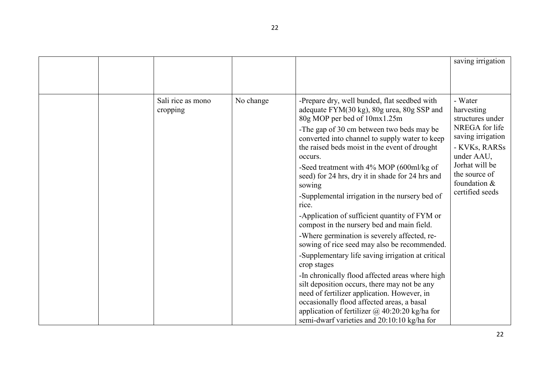|  |                               |           |                                                                                                                                                                                                                                                                                                                                                                                                                                                                                                                                                                                                                                                                                                                                                                                                                                                                                                                                                                                                                                       | saving irrigation                                                                                                                                                                     |
|--|-------------------------------|-----------|---------------------------------------------------------------------------------------------------------------------------------------------------------------------------------------------------------------------------------------------------------------------------------------------------------------------------------------------------------------------------------------------------------------------------------------------------------------------------------------------------------------------------------------------------------------------------------------------------------------------------------------------------------------------------------------------------------------------------------------------------------------------------------------------------------------------------------------------------------------------------------------------------------------------------------------------------------------------------------------------------------------------------------------|---------------------------------------------------------------------------------------------------------------------------------------------------------------------------------------|
|  | Sali rice as mono<br>cropping | No change | -Prepare dry, well bunded, flat seedbed with<br>adequate FYM(30 kg), 80g urea, 80g SSP and<br>80g MOP per bed of 10mx1.25m<br>-The gap of 30 cm between two beds may be<br>converted into channel to supply water to keep<br>the raised beds moist in the event of drought<br>occurs.<br>-Seed treatment with 4% MOP (600ml/kg of<br>seed) for 24 hrs, dry it in shade for 24 hrs and<br>sowing<br>-Supplemental irrigation in the nursery bed of<br>rice.<br>-Application of sufficient quantity of FYM or<br>compost in the nursery bed and main field.<br>-Where germination is severely affected, re-<br>sowing of rice seed may also be recommended.<br>-Supplementary life saving irrigation at critical<br>crop stages<br>-In chronically flood affected areas where high<br>silt deposition occurs, there may not be any<br>need of fertilizer application. However, in<br>occasionally flood affected areas, a basal<br>application of fertilizer $\omega$ 40:20:20 kg/ha for<br>semi-dwarf varieties and 20:10:10 kg/ha for | - Water<br>harvesting<br>structures under<br>NREGA for life<br>saving irrigation<br>- KVKs, RARSs<br>under AAU,<br>Jorhat will be<br>the source of<br>foundation &<br>certified seeds |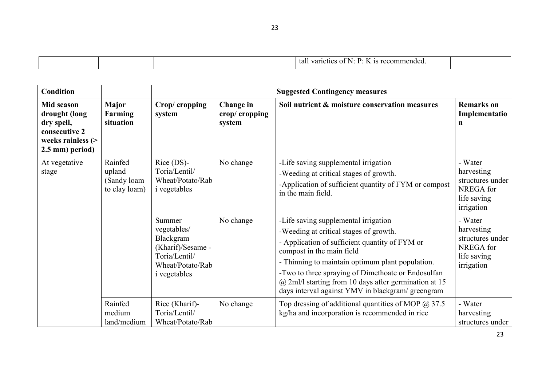| . .<br>-la<br>711<br> |  |
|-----------------------|--|

| <b>Condition</b>                                                                                          |                                                   |                                                                                                                     |                                      | <b>Suggested Contingency measures</b>                                                                                                                                                                                                                                                                                                                                                        |                                                                                     |
|-----------------------------------------------------------------------------------------------------------|---------------------------------------------------|---------------------------------------------------------------------------------------------------------------------|--------------------------------------|----------------------------------------------------------------------------------------------------------------------------------------------------------------------------------------------------------------------------------------------------------------------------------------------------------------------------------------------------------------------------------------------|-------------------------------------------------------------------------------------|
| <b>Mid season</b><br>drought (long<br>dry spell,<br>consecutive 2<br>weeks rainless (><br>2.5 mm) period) | Major<br>Farming<br>situation                     | Crop/cropping<br>system                                                                                             | Change in<br>crop/cropping<br>system | Soil nutrient & moisture conservation measures                                                                                                                                                                                                                                                                                                                                               | <b>Remarks</b> on<br>Implementatio<br>n                                             |
| At vegetative<br>stage                                                                                    | Rainfed<br>upland<br>(Sandy loam<br>to clay loam) | $Rice$ (DS)-<br>Toria/Lentil/<br>Wheat/Potato/Rab<br><i>i</i> vegetables                                            | No change                            | -Life saving supplemental irrigation<br>-Weeding at critical stages of growth.<br>-Application of sufficient quantity of FYM or compost<br>in the main field.                                                                                                                                                                                                                                | - Water<br>harvesting<br>structures under<br>NREGA for<br>life saving<br>irrigation |
|                                                                                                           |                                                   | Summer<br>vegetables/<br>Blackgram<br>(Kharif)/Sesame -<br>Toria/Lentil/<br>Wheat/Potato/Rab<br><i>i</i> vegetables | No change                            | -Life saving supplemental irrigation<br>-Weeding at critical stages of growth.<br>- Application of sufficient quantity of FYM or<br>compost in the main field<br>- Thinning to maintain optimum plant population.<br>-Two to three spraying of Dimethoate or Endosulfan<br>$\omega$ 2ml/l starting from 10 days after germination at 15<br>days interval against YMV in blackgram/ greengram | - Water<br>harvesting<br>structures under<br>NREGA for<br>life saving<br>irrigation |
|                                                                                                           | Rainfed<br>medium<br>land/medium                  | Rice (Kharif)-<br>Toria/Lentil/<br>Wheat/Potato/Rab                                                                 | No change                            | Top dressing of additional quantities of MOP $\omega$ 37.5<br>kg/ha and incorporation is recommended in rice                                                                                                                                                                                                                                                                                 | - Water<br>harvesting<br>structures under                                           |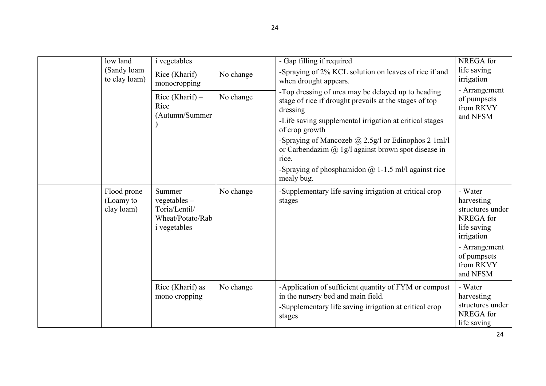| low land                               | <i>i</i> vegetables                                                                  |           | - Gap filling if required                                                                                                                                                                                                                                                                                                                                                                                       | NREGA for                                                                                                                                    |
|----------------------------------------|--------------------------------------------------------------------------------------|-----------|-----------------------------------------------------------------------------------------------------------------------------------------------------------------------------------------------------------------------------------------------------------------------------------------------------------------------------------------------------------------------------------------------------------------|----------------------------------------------------------------------------------------------------------------------------------------------|
| (Sandy loam<br>to clay loam)           | Rice (Kharif)<br>monocropping                                                        | No change | -Spraying of 2% KCL solution on leaves of rice if and<br>when drought appears.                                                                                                                                                                                                                                                                                                                                  | life saving<br>irrigation                                                                                                                    |
|                                        | Rice (Kharif) $-$<br>Rice<br>(Autumn/Summer                                          | No change | -Top dressing of urea may be delayed up to heading<br>stage of rice if drought prevails at the stages of top<br>dressing<br>-Life saving supplemental irrigation at critical stages<br>of crop growth<br>-Spraying of Mancozeb @ 2.5g/l or Edinophos 2 1ml/l<br>or Carbendazim $\omega$ 1g/l against brown spot disease in<br>rice.<br>-Spraying of phosphamidon $\omega$ 1-1.5 ml/l against rice<br>mealy bug. | - Arrangement<br>of pumpsets<br>from RKVY<br>and NFSM                                                                                        |
| Flood prone<br>(Loamy to<br>clay loam) | Summer<br>$vegetables -$<br>Toria/Lentil/<br>Wheat/Potato/Rab<br><i>i</i> vegetables | No change | -Supplementary life saving irrigation at critical crop<br>stages                                                                                                                                                                                                                                                                                                                                                | - Water<br>harvesting<br>structures under<br>NREGA for<br>life saving<br>irrigation<br>- Arrangement<br>of pumpsets<br>from RKVY<br>and NFSM |
|                                        | Rice (Kharif) as<br>mono cropping                                                    | No change | -Application of sufficient quantity of FYM or compost<br>in the nursery bed and main field.<br>-Supplementary life saving irrigation at critical crop<br>stages                                                                                                                                                                                                                                                 | - Water<br>harvesting<br>structures under<br>NREGA for<br>life saving                                                                        |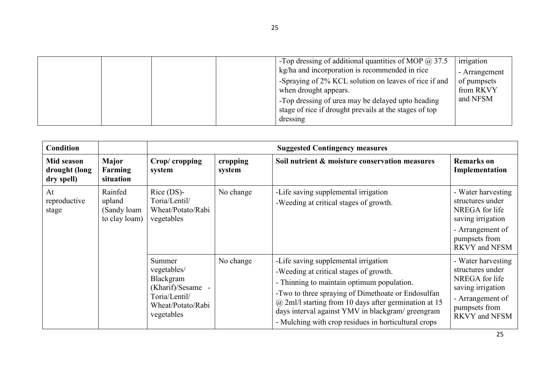|  | -Top dressing of additional quantities of MOP $\omega$ 37.5<br>kg/ha and incorporation is recommended in rice<br>-Spraying of 2% KCL solution on leaves of rice if and<br>when drought appears.<br>-Top dressing of urea may be delayed upto heading<br>stage of rice if drought prevails at the stages of top<br>dressing | irrigation<br>- Arrangement<br>of pumpsets<br>from RKVY<br>and NFSM |
|--|----------------------------------------------------------------------------------------------------------------------------------------------------------------------------------------------------------------------------------------------------------------------------------------------------------------------------|---------------------------------------------------------------------|
|--|----------------------------------------------------------------------------------------------------------------------------------------------------------------------------------------------------------------------------------------------------------------------------------------------------------------------------|---------------------------------------------------------------------|

| <b>Condition</b>                          |                                                   |                                                                                                             | <b>Suggested Contingency measures</b> |                                                                                                                                                                                                                                                                                                                                                             |                                                                                                                                            |  |  |
|-------------------------------------------|---------------------------------------------------|-------------------------------------------------------------------------------------------------------------|---------------------------------------|-------------------------------------------------------------------------------------------------------------------------------------------------------------------------------------------------------------------------------------------------------------------------------------------------------------------------------------------------------------|--------------------------------------------------------------------------------------------------------------------------------------------|--|--|
| Mid season<br>drought (long<br>dry spell) | Major<br>Farming<br>situation                     | Crop/cropping<br>system                                                                                     | cropping<br>system                    | Soil nutrient & moisture conservation measures                                                                                                                                                                                                                                                                                                              | <b>Remarks on</b><br>Implementation                                                                                                        |  |  |
| At<br>reproductive<br>stage               | Rainfed<br>upland<br>(Sandy loam<br>to clay loam) | $Rice$ (DS)-<br>Toria/Lentil/<br>Wheat/Potato/Rabi<br>vegetables                                            | No change                             | -Life saving supplemental irrigation<br>-Weeding at critical stages of growth.                                                                                                                                                                                                                                                                              | - Water harvesting<br>structures under<br>NREGA for life<br>saving irrigation<br>- Arrangement of<br>pumpsets from<br><b>RKVY</b> and NFSM |  |  |
|                                           |                                                   | Summer<br>vegetables/<br>Blackgram<br>(Kharif)/Sesame -<br>Toria/Lentil/<br>Wheat/Potato/Rabi<br>vegetables | No change                             | -Life saving supplemental irrigation<br>-Weeding at critical stages of growth.<br>- Thinning to maintain optimum population.<br>-Two to three spraying of Dimethoate or Endosulfan<br>$(a)$ 2ml/l starting from 10 days after germination at 15<br>days interval against YMV in blackgram/greengram<br>- Mulching with crop residues in horticultural crops | - Water harvesting<br>structures under<br>NREGA for life<br>saving irrigation<br>- Arrangement of<br>pumpsets from<br>RKVY and NFSM        |  |  |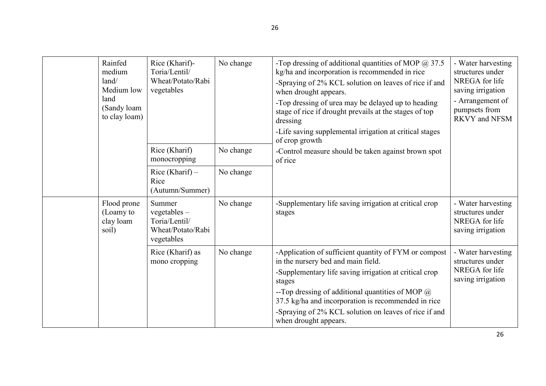| Rainfed<br>medium<br>land/<br>Medium low<br>land<br>(Sandy loam)<br>to clay loam) | Rice (Kharif)-<br>Toria/Lentil/<br>Wheat/Potato/Rabi<br>vegetables           | No change | -Top dressing of additional quantities of MOP $@37.5$<br>kg/ha and incorporation is recommended in rice<br>-Spraying of 2% KCL solution on leaves of rice if and<br>when drought appears.<br>-Top dressing of urea may be delayed up to heading<br>stage of rice if drought prevails at the stages of top<br>dressing<br>-Life saving supplemental irrigation at critical stages<br>of crop growth | - Water harvesting<br>structures under<br>NREGA for life<br>saving irrigation<br>- Arrangement of<br>pumpsets from<br><b>RKVY</b> and NFSM |
|-----------------------------------------------------------------------------------|------------------------------------------------------------------------------|-----------|----------------------------------------------------------------------------------------------------------------------------------------------------------------------------------------------------------------------------------------------------------------------------------------------------------------------------------------------------------------------------------------------------|--------------------------------------------------------------------------------------------------------------------------------------------|
|                                                                                   | Rice (Kharif)<br>monocropping                                                | No change | -Control measure should be taken against brown spot<br>of rice                                                                                                                                                                                                                                                                                                                                     |                                                                                                                                            |
|                                                                                   | Rice (Kharif) $-$<br>Rice<br>(Autumn/Summer)                                 | No change |                                                                                                                                                                                                                                                                                                                                                                                                    |                                                                                                                                            |
| Flood prone<br>(Loamy to<br>clay loam<br>soil)                                    | Summer<br>$vegetables -$<br>Toria/Lentil/<br>Wheat/Potato/Rabi<br>vegetables | No change | -Supplementary life saving irrigation at critical crop<br>stages                                                                                                                                                                                                                                                                                                                                   | - Water harvesting<br>structures under<br>NREGA for life<br>saving irrigation                                                              |
|                                                                                   | Rice (Kharif) as<br>mono cropping                                            | No change | -Application of sufficient quantity of FYM or compost<br>in the nursery bed and main field.<br>-Supplementary life saving irrigation at critical crop<br>stages<br>--Top dressing of additional quantities of MOP $@$<br>37.5 kg/ha and incorporation is recommended in rice<br>-Spraying of 2% KCL solution on leaves of rice if and<br>when drought appears.                                     | - Water harvesting<br>structures under<br>NREGA for life<br>saving irrigation                                                              |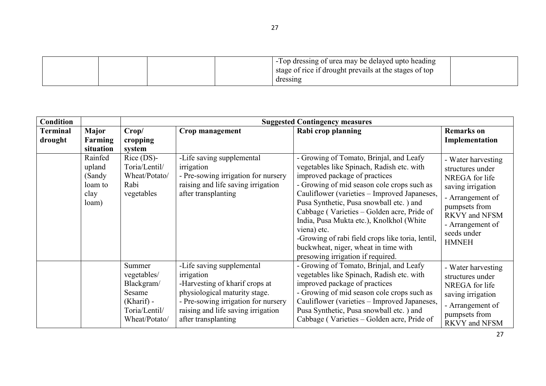| <b>Condition</b>           |                                                         |                                                                                                 | <b>Suggested Contingency measures</b>                                                                                                                                                                          |                                                                                                                                                                                                                                                                                                                                                                                                                                                                                                          |                                                                                                                                                                                        |  |  |  |
|----------------------------|---------------------------------------------------------|-------------------------------------------------------------------------------------------------|----------------------------------------------------------------------------------------------------------------------------------------------------------------------------------------------------------------|----------------------------------------------------------------------------------------------------------------------------------------------------------------------------------------------------------------------------------------------------------------------------------------------------------------------------------------------------------------------------------------------------------------------------------------------------------------------------------------------------------|----------------------------------------------------------------------------------------------------------------------------------------------------------------------------------------|--|--|--|
| <b>Terminal</b><br>drought | <b>Major</b><br>Farming<br>situation                    | Crop/<br>cropping<br>system                                                                     | Crop management                                                                                                                                                                                                | Rabi crop planning                                                                                                                                                                                                                                                                                                                                                                                                                                                                                       | <b>Remarks</b> on<br>Implementation                                                                                                                                                    |  |  |  |
|                            | Rainfed<br>upland<br>(Sandy<br>loam to<br>clay<br>loam) | $Rice$ (DS)-<br>Toria/Lentil/<br>Wheat/Potato/<br>Rabi<br>vegetables                            | -Life saving supplemental<br>irrigation<br>- Pre-sowing irrigation for nursery<br>raising and life saving irrigation<br>after transplanting                                                                    | - Growing of Tomato, Brinjal, and Leafy<br>vegetables like Spinach, Radish etc. with<br>improved package of practices<br>- Growing of mid season cole crops such as<br>Cauliflower (varieties - Improved Japaneses,<br>Pusa Synthetic, Pusa snowball etc.) and<br>Cabbage (Varieties – Golden acre, Pride of<br>India, Pusa Mukta etc.), Knolkhol (White<br>viena) etc.<br>-Growing of rabi field crops like toria, lentil,<br>buckwheat, niger, wheat in time with<br>presowing irrigation if required. | - Water harvesting<br>structures under<br>NREGA for life<br>saving irrigation<br>- Arrangement of<br>pumpsets from<br>RKVY and NFSM<br>- Arrangement of<br>seeds under<br><b>HMNEH</b> |  |  |  |
|                            |                                                         | Summer<br>vegetables/<br>Blackgram/<br>Sesame<br>$(Kharif)$ -<br>Toria/Lentil/<br>Wheat/Potato/ | -Life saving supplemental<br>irrigation<br>-Harvesting of kharif crops at<br>physiological maturity stage.<br>- Pre-sowing irrigation for nursery<br>raising and life saving irrigation<br>after transplanting | - Growing of Tomato, Brinjal, and Leafy<br>vegetables like Spinach, Radish etc. with<br>improved package of practices<br>- Growing of mid season cole crops such as<br>Cauliflower (varieties - Improved Japaneses,<br>Pusa Synthetic, Pusa snowball etc.) and<br>Cabbage (Varieties – Golden acre, Pride of                                                                                                                                                                                             | - Water harvesting<br>structures under<br>NREGA for life<br>saving irrigation<br>- Arrangement of<br>pumpsets from<br><b>RKVY</b> and NFSM                                             |  |  |  |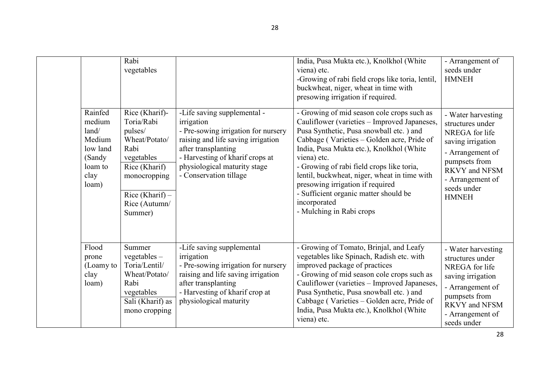|                                                                                        | Rabi<br>vegetables                                                                                                                                               |                                                                                                                                                                                                                                            | India, Pusa Mukta etc.), Knolkhol (White<br>viena) etc.<br>-Growing of rabi field crops like toria, lentil,<br>buckwheat, niger, wheat in time with<br>presowing irrigation if required.                                                                                                                                                                                                                                                                              | - Arrangement of<br>seeds under<br><b>HMNEH</b>                                                                                                                                               |
|----------------------------------------------------------------------------------------|------------------------------------------------------------------------------------------------------------------------------------------------------------------|--------------------------------------------------------------------------------------------------------------------------------------------------------------------------------------------------------------------------------------------|-----------------------------------------------------------------------------------------------------------------------------------------------------------------------------------------------------------------------------------------------------------------------------------------------------------------------------------------------------------------------------------------------------------------------------------------------------------------------|-----------------------------------------------------------------------------------------------------------------------------------------------------------------------------------------------|
| Rainfed<br>medium<br>land/<br>Medium<br>low land<br>(Sandy<br>loam to<br>clay<br>loam) | Rice (Kharif)-<br>Toria/Rabi<br>pulses/<br>Wheat/Potato/<br>Rabi<br>vegetables<br>Rice (Kharif)<br>monocropping<br>Rice (Kharif) $-$<br>Rice (Autumn/<br>Summer) | -Life saving supplemental -<br>irrigation<br>- Pre-sowing irrigation for nursery<br>raising and life saving irrigation<br>after transplanting<br>- Harvesting of kharif crops at<br>physiological maturity stage<br>- Conservation tillage | - Growing of mid season cole crops such as<br>Cauliflower (varieties - Improved Japaneses,<br>Pusa Synthetic, Pusa snowball etc. ) and<br>Cabbage (Varieties - Golden acre, Pride of<br>India, Pusa Mukta etc.), Knolkhol (White<br>viena) etc.<br>- Growing of rabi field crops like toria,<br>lentil, buckwheat, niger, wheat in time with<br>presowing irrigation if required<br>- Sufficient organic matter should be<br>incorporated<br>- Mulching in Rabi crops | - Water harvesting<br>structures under<br>NREGA for life<br>saving irrigation<br>- Arrangement of<br>pumpsets from<br><b>RKVY</b> and NFSM<br>- Arrangement of<br>seeds under<br><b>HMNEH</b> |
| Flood<br>prone<br>(Loamy to<br>clay<br>loam)                                           | Summer<br>vegetables $-$<br>Toria/Lentil/<br>Wheat/Potato/<br>Rabi<br>vegetables<br>Sali (Kharif) as<br>mono cropping                                            | -Life saving supplemental<br>irrigation<br>- Pre-sowing irrigation for nursery<br>raising and life saving irrigation<br>after transplanting<br>- Harvesting of kharif crop at<br>physiological maturity                                    | - Growing of Tomato, Brinjal, and Leafy<br>vegetables like Spinach, Radish etc. with<br>improved package of practices<br>- Growing of mid season cole crops such as<br>Cauliflower (varieties - Improved Japaneses,<br>Pusa Synthetic, Pusa snowball etc.) and<br>Cabbage (Varieties - Golden acre, Pride of<br>India, Pusa Mukta etc.), Knolkhol (White<br>viena) etc.                                                                                               | - Water harvesting<br>structures under<br>NREGA for life<br>saving irrigation<br>- Arrangement of<br>pumpsets from<br><b>RKVY</b> and NFSM<br>- Arrangement of<br>seeds under                 |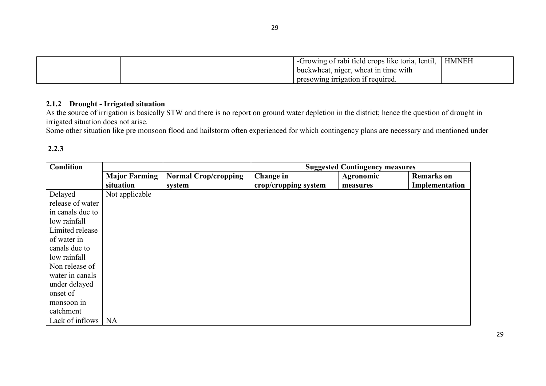|  | -Growing of rabi field crops like toria, lentil, | <b>HMNEH</b> |
|--|--------------------------------------------------|--------------|
|  | buckwheat, niger, wheat in time with             |              |
|  | presowing irrigation if required.                |              |

2.1.2 Drought - Irrigated situation<br>As the source of irrigation is basically STW and there is no report on ground water depletion in the district; hence the question of drought in irrigated situation does not arise.

Some other situation like pre monsoon flood and hailstorm often experienced for which contingency plans are necessary and mentioned under

### 2.2.3

| <b>Condition</b> |                                   |                                       | <b>Suggested Contingency measures</b> |                       |                                     |  |
|------------------|-----------------------------------|---------------------------------------|---------------------------------------|-----------------------|-------------------------------------|--|
|                  | <b>Major Farming</b><br>situation | <b>Normal Crop/cropping</b><br>system | Change in<br>crop/cropping system     | Agronomic<br>measures | <b>Remarks</b> on<br>Implementation |  |
| Delayed          | Not applicable                    |                                       |                                       |                       |                                     |  |
| release of water |                                   |                                       |                                       |                       |                                     |  |
| in canals due to |                                   |                                       |                                       |                       |                                     |  |
| low rainfall     |                                   |                                       |                                       |                       |                                     |  |
| Limited release  |                                   |                                       |                                       |                       |                                     |  |
| of water in      |                                   |                                       |                                       |                       |                                     |  |
| canals due to    |                                   |                                       |                                       |                       |                                     |  |
| low rainfall     |                                   |                                       |                                       |                       |                                     |  |
| Non release of   |                                   |                                       |                                       |                       |                                     |  |
| water in canals  |                                   |                                       |                                       |                       |                                     |  |
| under delayed    |                                   |                                       |                                       |                       |                                     |  |
| onset of         |                                   |                                       |                                       |                       |                                     |  |
| monsoon in       |                                   |                                       |                                       |                       |                                     |  |
| catchment        |                                   |                                       |                                       |                       |                                     |  |
| Lack of inflows  | <b>NA</b>                         |                                       |                                       |                       |                                     |  |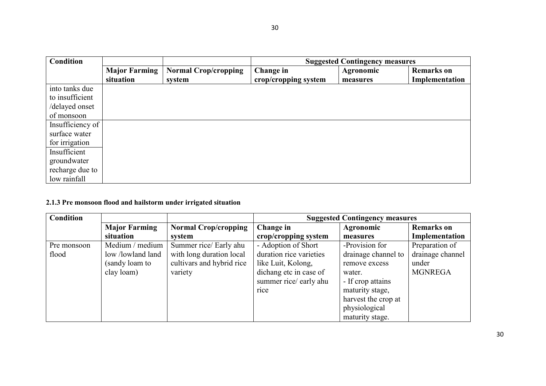| <b>Condition</b> |                      |                             | <b>Suggested Contingency measures</b> |           |                   |  |
|------------------|----------------------|-----------------------------|---------------------------------------|-----------|-------------------|--|
|                  | <b>Major Farming</b> | <b>Normal Crop/cropping</b> | Change in                             | Agronomic | <b>Remarks</b> on |  |
|                  | situation            | system                      | crop/cropping system                  | measures  | Implementation    |  |
| into tanks due   |                      |                             |                                       |           |                   |  |
| to insufficient  |                      |                             |                                       |           |                   |  |
| /delayed onset   |                      |                             |                                       |           |                   |  |
| of monsoon       |                      |                             |                                       |           |                   |  |
| Insufficiency of |                      |                             |                                       |           |                   |  |
| surface water    |                      |                             |                                       |           |                   |  |
| for irrigation   |                      |                             |                                       |           |                   |  |
| Insufficient     |                      |                             |                                       |           |                   |  |
| groundwater      |                      |                             |                                       |           |                   |  |
| recharge due to  |                      |                             |                                       |           |                   |  |
| low rainfall     |                      |                             |                                       |           |                   |  |

# 2.1.3 Pre monsoon flood and hailstorm under irrigated situation

| <b>Condition</b> |                      |                             |                         | <b>Suggested Contingency measures</b> |                   |
|------------------|----------------------|-----------------------------|-------------------------|---------------------------------------|-------------------|
|                  | <b>Major Farming</b> | <b>Normal Crop/cropping</b> | Change in               | Agronomic                             | <b>Remarks</b> on |
|                  | situation            | system                      | crop/cropping system    | measures                              | Implementation    |
| Pre monsoon      | Medium / medium      | Summer rice/ Early ahu      | - Adoption of Short     | -Provision for                        | Preparation of    |
| flood            | low/lowland land     | with long duration local    | duration rice varieties | drainage channel to                   | drainage channel  |
|                  | (sandy loam to       | cultivars and hybrid rice   | like Luit, Kolong,      | remove excess                         | under             |
|                  | clay loam)           | variety                     | dichang etc in case of  | water.                                | <b>MGNREGA</b>    |
|                  |                      |                             | summer rice/early ahu   | - If crop attains                     |                   |
|                  |                      |                             | rice                    | maturity stage,                       |                   |
|                  |                      |                             |                         | harvest the crop at                   |                   |
|                  |                      |                             |                         | physiological                         |                   |
|                  |                      |                             |                         | maturity stage.                       |                   |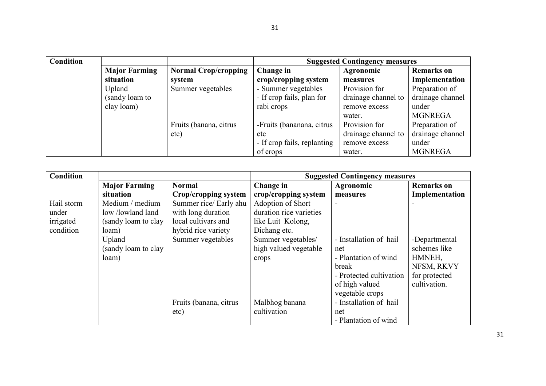| <b>Condition</b> |                      |                             | <b>Suggested Contingency measures</b> |                     |                   |
|------------------|----------------------|-----------------------------|---------------------------------------|---------------------|-------------------|
|                  | <b>Major Farming</b> | <b>Normal Crop/cropping</b> | Change in                             | <b>Agronomic</b>    | <b>Remarks</b> on |
|                  | situation            | system                      | crop/cropping system                  | measures            | Implementation    |
|                  | Upland               | Summer vegetables           | - Summer vegetables                   | Provision for       | Preparation of    |
|                  | (sandy loam to       |                             | - If crop fails, plan for             | drainage channel to | drainage channel  |
|                  | clay loam)           |                             | rabi crops                            | remove excess       | under             |
|                  |                      |                             |                                       | water.              | <b>MGNREGA</b>    |
|                  |                      | Fruits (banana, citrus      | -Fruits (bananana, citrus             | Provision for       | Preparation of    |
|                  |                      | etc)                        | etc                                   | drainage channel to | drainage channel  |
|                  |                      |                             | - If crop fails, replanting           | remove excess       | under             |
|                  |                      |                             | of crops                              | water.              | <b>MGNREGA</b>    |

| <b>Condition</b> |                      |                        |                         | <b>Suggested Contingency measures</b> |                   |
|------------------|----------------------|------------------------|-------------------------|---------------------------------------|-------------------|
|                  | <b>Major Farming</b> | <b>Normal</b>          | Change in               | Agronomic                             | <b>Remarks</b> on |
|                  | situation            | Crop/cropping system   | crop/cropping system    | measures                              | Implementation    |
| Hail storm       | Medium / medium      | Summer rice/ Early ahu | Adoption of Short       |                                       |                   |
| under            | low/lowland land     | with long duration     | duration rice varieties |                                       |                   |
| irrigated        | (sandy loam to clay  | local cultivars and    | like Luit Kolong,       |                                       |                   |
| condition        | loam)                | hybrid rice variety    | Dichang etc.            |                                       |                   |
|                  | Upland               | Summer vegetables      | Summer vegetables/      | - Installation of hail                | -Departmental     |
|                  | (sandy loam to clay  |                        | high valued vegetable   | net                                   | schemes like      |
|                  | loam)                |                        | crops                   | - Plantation of wind                  | HMNEH,            |
|                  |                      |                        |                         | break                                 | NFSM, RKVY        |
|                  |                      |                        |                         | - Protected cultivation               | for protected     |
|                  |                      |                        |                         | of high valued                        | cultivation.      |
|                  |                      |                        |                         | vegetable crops                       |                   |
|                  |                      | Fruits (banana, citrus | Malbhog banana          | - Installation of hail                |                   |
|                  |                      | etc)                   | cultivation             | net                                   |                   |
|                  |                      |                        |                         | - Plantation of wind                  |                   |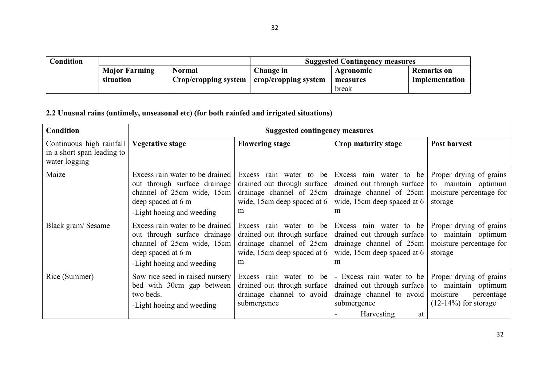| Condition |                      |                                | <b>Suggested Contingency measures</b> |                  |                |  |
|-----------|----------------------|--------------------------------|---------------------------------------|------------------|----------------|--|
|           | <b>Major Farming</b> | Normal                         | Change in                             | <b>Agronomic</b> | Remarks on     |  |
|           | situation            | $Crop/cropping$ system $\vert$ | crop/cropping system                  | measures         | Implementation |  |
|           |                      |                                |                                       | break            |                |  |

# 2.2 Unusual rains (untimely, unseasonal etc) (for both rainfed and irrigated situations)

| <b>Condition</b>                                                        |                                                                                                                                                  | <b>Suggested contingency measures</b>                                                                                  |                                                                                                                          |                                                                                                     |
|-------------------------------------------------------------------------|--------------------------------------------------------------------------------------------------------------------------------------------------|------------------------------------------------------------------------------------------------------------------------|--------------------------------------------------------------------------------------------------------------------------|-----------------------------------------------------------------------------------------------------|
| Continuous high rainfall<br>in a short span leading to<br>water logging | <b>Vegetative stage</b>                                                                                                                          | <b>Flowering stage</b>                                                                                                 | Crop maturity stage                                                                                                      | <b>Post harvest</b>                                                                                 |
| Maize                                                                   | Excess rain water to be drained<br>out through surface drainage<br>channel of 25cm wide, 15cm<br>deep spaced at 6 m<br>-Light hoeing and weeding | Excess rain water to be<br>drained out through surface<br>drainage channel of 25cm<br>wide, 15cm deep spaced at 6<br>m | Excess rain water to be<br>drained out through surface<br>drainage channel of 25cm<br>wide, 15cm deep spaced at 6<br>m   | Proper drying of grains<br>to maintain optimum<br>moisture percentage for<br>storage                |
| Black gram/Sesame                                                       | Excess rain water to be drained<br>out through surface drainage<br>channel of 25cm wide, 15cm<br>deep spaced at 6 m<br>-Light hoeing and weeding | Excess rain water to be<br>drained out through surface<br>drainage channel of 25cm<br>wide, 15cm deep spaced at 6<br>m | Excess rain water to be<br>drained out through surface<br>drainage channel of 25cm<br>wide, 15cm deep spaced at 6<br>m   | Proper drying of grains<br>to maintain optimum<br>moisture percentage for<br>storage                |
| Rice (Summer)                                                           | Sow rice seed in raised nursery<br>bed with 30cm gap between<br>two beds.<br>-Light hoeing and weeding                                           | Excess rain water to be<br>drained out through surface<br>drainage channel to avoid<br>submergence                     | - Excess rain water to be<br>drained out through surface<br>drainage channel to avoid<br>submergence<br>Harvesting<br>at | Proper drying of grains<br>to maintain optimum<br>moisture<br>percentage<br>$(12-14\%)$ for storage |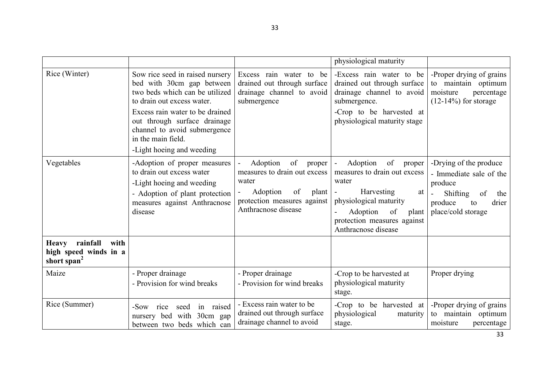|                                                                                      |                                                                                                                                                                                                                                                                                    |                                                                                                                                                    | physiological maturity                                                                                                                                                                                                                         |                                                                                                                                       |
|--------------------------------------------------------------------------------------|------------------------------------------------------------------------------------------------------------------------------------------------------------------------------------------------------------------------------------------------------------------------------------|----------------------------------------------------------------------------------------------------------------------------------------------------|------------------------------------------------------------------------------------------------------------------------------------------------------------------------------------------------------------------------------------------------|---------------------------------------------------------------------------------------------------------------------------------------|
| Rice (Winter)                                                                        | Sow rice seed in raised nursery<br>bed with 30cm gap between<br>two beds which can be utilized<br>to drain out excess water.<br>Excess rain water to be drained<br>out through surface drainage<br>channel to avoid submergence<br>in the main field.<br>-Light hoeing and weeding | Excess rain water to be<br>drained out through surface<br>drainage channel to avoid<br>submergence                                                 | -Excess rain water to be<br>drained out through surface<br>drainage channel to avoid<br>submergence.<br>-Crop to be harvested at<br>physiological maturity stage                                                                               | -Proper drying of grains<br>to maintain optimum<br>moisture<br>percentage<br>$(12-14\%)$ for storage                                  |
| Vegetables                                                                           | -Adoption of proper measures<br>to drain out excess water<br>-Light hoeing and weeding<br>- Adoption of plant protection<br>measures against Anthracnose<br>disease                                                                                                                | of<br>Adoption<br>proper<br>measures to drain out excess<br>water<br>of<br>Adoption<br>plant<br>protection measures against<br>Anthracnose disease | Adoption<br>of<br>proper<br>$\blacksquare$<br>measures to drain out excess<br>water<br>Harvesting<br>at<br>$\overline{\phantom{a}}$<br>physiological maturity<br>Adoption<br>of<br>plant<br>protection measures against<br>Anthracnose disease | -Drying of the produce<br>- Immediate sale of the<br>produce<br>Shifting<br>of<br>the<br>drier<br>produce<br>to<br>place/cold storage |
| rainfall<br>with<br><b>Heavy</b><br>high speed winds in a<br>short span <sup>2</sup> |                                                                                                                                                                                                                                                                                    |                                                                                                                                                    |                                                                                                                                                                                                                                                |                                                                                                                                       |
| Maize                                                                                | - Proper drainage<br>- Provision for wind breaks                                                                                                                                                                                                                                   | - Proper drainage<br>- Provision for wind breaks                                                                                                   | -Crop to be harvested at<br>physiological maturity<br>stage.                                                                                                                                                                                   | Proper drying                                                                                                                         |
| Rice (Summer)                                                                        | $-Sow$<br>in raised<br>seed<br>rice<br>nursery bed with 30cm gap<br>between two beds which can                                                                                                                                                                                     | - Excess rain water to be<br>drained out through surface<br>drainage channel to avoid                                                              | -Crop to be harvested at<br>physiological<br>maturity<br>stage.                                                                                                                                                                                | -Proper drying of grains<br>to maintain optimum<br>moisture<br>percentage                                                             |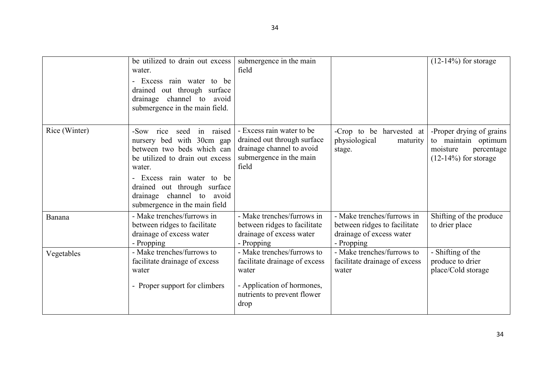|               | be utilized to drain out excess<br>water.<br>Excess rain water to be<br>drained out through surface<br>drainage channel to avoid<br>submergence in the main field.                                                                                             | submergence in the main<br>field                                                                                                  |                                                                                                      | $(12-14\%)$ for storage                                                                              |
|---------------|----------------------------------------------------------------------------------------------------------------------------------------------------------------------------------------------------------------------------------------------------------------|-----------------------------------------------------------------------------------------------------------------------------------|------------------------------------------------------------------------------------------------------|------------------------------------------------------------------------------------------------------|
| Rice (Winter) | in raised<br>-Sow rice<br>seed<br>nursery bed with 30cm gap<br>between two beds which can<br>be utilized to drain out excess<br>water.<br>Excess rain water to be<br>drained out through surface<br>drainage channel to avoid<br>submergence in the main field | - Excess rain water to be<br>drained out through surface<br>drainage channel to avoid<br>submergence in the main<br>field         | -Crop to be harvested at<br>physiological<br>maturity<br>stage.                                      | -Proper drying of grains<br>to maintain optimum<br>moisture<br>percentage<br>$(12-14\%)$ for storage |
| Banana        | - Make trenches/furrows in<br>between ridges to facilitate<br>drainage of excess water<br>- Propping                                                                                                                                                           | - Make trenches/furrows in<br>between ridges to facilitate<br>drainage of excess water<br>- Propping                              | - Make trenches/furrows in<br>between ridges to facilitate<br>drainage of excess water<br>- Propping | Shifting of the produce<br>to drier place                                                            |
| Vegetables    | - Make trenches/furrows to<br>facilitate drainage of excess<br>water<br>- Proper support for climbers                                                                                                                                                          | - Make trenches/furrows to<br>facilitate drainage of excess<br>water<br>- Application of hormones,<br>nutrients to prevent flower | - Make trenches/furrows to<br>facilitate drainage of excess<br>water                                 | $\overline{\phantom{a}}$ -Shifting of the<br>produce to drier<br>place/Cold storage                  |
|               |                                                                                                                                                                                                                                                                | drop                                                                                                                              |                                                                                                      |                                                                                                      |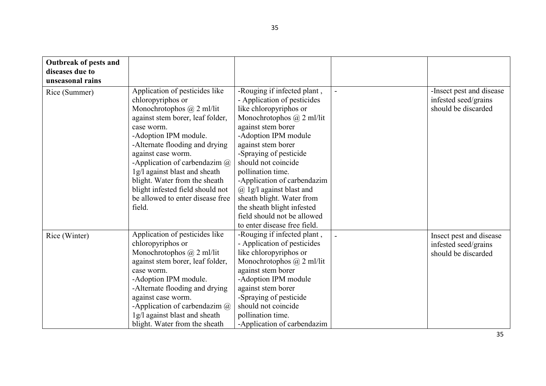| Outbreak of pests and<br>diseases due to<br>unseasonal rains |                                                                                                                                                                                                                                                                                                                                                                                                                        |                                                                                                                                                                                                                                                                                                                                                                                                                                                                |                                                                         |
|--------------------------------------------------------------|------------------------------------------------------------------------------------------------------------------------------------------------------------------------------------------------------------------------------------------------------------------------------------------------------------------------------------------------------------------------------------------------------------------------|----------------------------------------------------------------------------------------------------------------------------------------------------------------------------------------------------------------------------------------------------------------------------------------------------------------------------------------------------------------------------------------------------------------------------------------------------------------|-------------------------------------------------------------------------|
| Rice (Summer)                                                | Application of pesticides like<br>chloropyriphos or<br>Monochrotophos $\omega$ 2 ml/lit<br>against stem borer, leaf folder,<br>case worm.<br>-Adoption IPM module.<br>-Alternate flooding and drying<br>against case worm.<br>-Application of carbendazim $\omega$<br>1g/l against blast and sheath<br>blight. Water from the sheath<br>blight infested field should not<br>be allowed to enter disease free<br>field. | -Rouging if infected plant,<br>- Application of pesticides<br>like chloropyriphos or<br>Monochrotophos $\omega$ 2 ml/lit<br>against stem borer<br>-Adoption IPM module<br>against stem borer<br>-Spraying of pesticide<br>should not coincide<br>pollination time.<br>-Application of carbendazim<br>$\omega$ 1g/l against blast and<br>sheath blight. Water from<br>the sheath blight infested<br>field should not be allowed<br>to enter disease free field. | -Insect pest and disease<br>infested seed/grains<br>should be discarded |
| Rice (Winter)                                                | Application of pesticides like<br>chloropyriphos or<br>Monochrotophos $\omega$ 2 ml/lit<br>against stem borer, leaf folder,<br>case worm.<br>-Adoption IPM module.<br>-Alternate flooding and drying<br>against case worm.<br>-Application of carbendazim $\omega$<br>1g/l against blast and sheath<br>blight. Water from the sheath                                                                                   | -Rouging if infected plant,<br>- Application of pesticides<br>like chloropyriphos or<br>Monochrotophos $\omega$ 2 ml/lit<br>against stem borer<br>-Adoption IPM module<br>against stem borer<br>-Spraying of pesticide<br>should not coincide<br>pollination time.<br>-Application of carbendazim                                                                                                                                                              | Insect pest and disease<br>infested seed/grains<br>should be discarded  |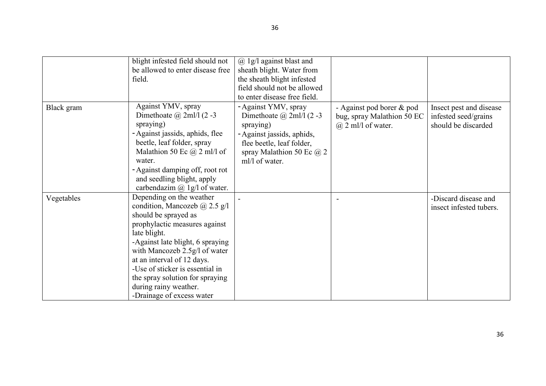|            | blight infested field should not     | $(a)$ 1g/l against blast and     |                            |                         |
|------------|--------------------------------------|----------------------------------|----------------------------|-------------------------|
|            | be allowed to enter disease free     | sheath blight. Water from        |                            |                         |
|            | field.                               | the sheath blight infested       |                            |                         |
|            |                                      | field should not be allowed      |                            |                         |
|            |                                      |                                  |                            |                         |
|            |                                      | to enter disease free field.     |                            |                         |
| Black gram | Against YMV, spray                   | - Against YMV, spray             | - Against pod borer & pod  | Insect pest and disease |
|            | Dimethoate $\omega$ 2ml/l (2 -3)     | Dimethoate $\omega$ 2ml/l (2 -3) | bug, spray Malathion 50 EC | infested seed/grains    |
|            | spraying)                            | spraying)                        | $(a)$ 2 ml/l of water.     | should be discarded     |
|            | - Against jassids, aphids, flee      | - Against jassids, aphids,       |                            |                         |
|            | beetle, leaf folder, spray           | flee beetle, leaf folder,        |                            |                         |
|            | Malathion 50 Ec $\omega$ 2 ml/l of   | spray Malathion 50 Ec $@2$       |                            |                         |
|            | water.                               | ml/l of water.                   |                            |                         |
|            | - Against damping off, root rot      |                                  |                            |                         |
|            | and seedling blight, apply           |                                  |                            |                         |
|            | carbendazim $\omega$ 1g/l of water.  |                                  |                            |                         |
| Vegetables | Depending on the weather             |                                  |                            | -Discard disease and    |
|            | condition, Mancozeb $\omega$ 2.5 g/l |                                  |                            | insect infested tubers. |
|            | should be sprayed as                 |                                  |                            |                         |
|            | prophylactic measures against        |                                  |                            |                         |
|            | late blight.                         |                                  |                            |                         |
|            | -Against late blight, 6 spraying     |                                  |                            |                         |
|            | with Mancozeb 2.5g/l of water        |                                  |                            |                         |
|            | at an interval of 12 days.           |                                  |                            |                         |
|            | -Use of sticker is essential in      |                                  |                            |                         |
|            | the spray solution for spraying      |                                  |                            |                         |
|            | during rainy weather.                |                                  |                            |                         |
|            | -Drainage of excess water            |                                  |                            |                         |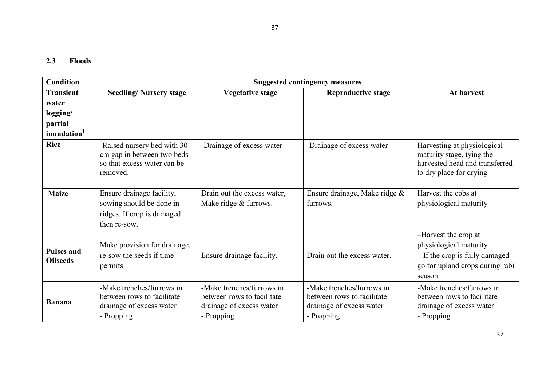# 2.3 Floods

| <b>Condition</b>                     |                                                                                                      |                                                                                                   | <b>Suggested contingency measures</b>                                                             |                                                                                                                               |
|--------------------------------------|------------------------------------------------------------------------------------------------------|---------------------------------------------------------------------------------------------------|---------------------------------------------------------------------------------------------------|-------------------------------------------------------------------------------------------------------------------------------|
| <b>Transient</b>                     | <b>Seedling/Nursery stage</b>                                                                        | <b>Vegetative stage</b>                                                                           | <b>Reproductive stage</b>                                                                         | At harvest                                                                                                                    |
| water                                |                                                                                                      |                                                                                                   |                                                                                                   |                                                                                                                               |
| logging/                             |                                                                                                      |                                                                                                   |                                                                                                   |                                                                                                                               |
| partial                              |                                                                                                      |                                                                                                   |                                                                                                   |                                                                                                                               |
| inundation <sup>1</sup>              |                                                                                                      |                                                                                                   |                                                                                                   |                                                                                                                               |
| <b>Rice</b>                          | -Raised nursery bed with 30<br>cm gap in between two beds<br>so that excess water can be<br>removed. | -Drainage of excess water                                                                         | -Drainage of excess water                                                                         | Harvesting at physiological<br>maturity stage, tying the<br>harvested head and transferred<br>to dry place for drying         |
| <b>Maize</b>                         | Ensure drainage facility,<br>sowing should be done in<br>ridges. If crop is damaged<br>then re-sow.  | Drain out the excess water,<br>Make ridge & furrows.                                              | Ensure drainage, Make ridge $\&$<br>furrows.                                                      | Harvest the cobs at<br>physiological maturity                                                                                 |
| <b>Pulses and</b><br><b>Oilseeds</b> | Make provision for drainage,<br>re-sow the seeds if time<br>permits                                  | Ensure drainage facility.                                                                         | Drain out the excess water.                                                                       | -Harvest the crop at<br>physiological maturity<br>- If the crop is fully damaged<br>go for upland crops during rabi<br>season |
| <b>Banana</b>                        | -Make trenches/furrows in<br>between rows to facilitate<br>drainage of excess water<br>- Propping    | -Make trenches/furrows in<br>between rows to facilitate<br>drainage of excess water<br>- Propping | -Make trenches/furrows in<br>between rows to facilitate<br>drainage of excess water<br>- Propping | -Make trenches/furrows in<br>between rows to facilitate<br>drainage of excess water<br>- Propping                             |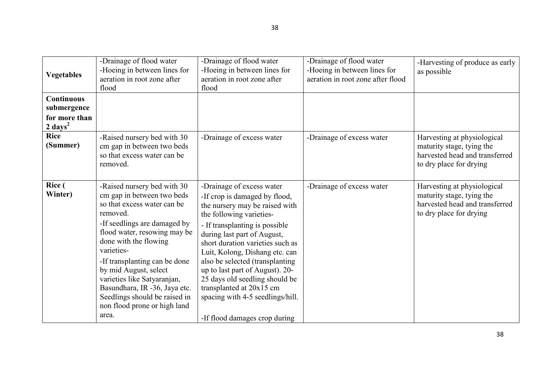| <b>Vegetables</b>                                                       | -Drainage of flood water<br>-Hoeing in between lines for<br>aeration in root zone after<br>flood                                                                                                                                                                                                                                                                                                                | -Drainage of flood water<br>-Hoeing in between lines for<br>aeration in root zone after<br>flood                                                                                                                                                                                                                                                                                                                                                                         | -Drainage of flood water<br>-Hoeing in between lines for<br>aeration in root zone after flood | -Harvesting of produce as early<br>as possible                                                                        |
|-------------------------------------------------------------------------|-----------------------------------------------------------------------------------------------------------------------------------------------------------------------------------------------------------------------------------------------------------------------------------------------------------------------------------------------------------------------------------------------------------------|--------------------------------------------------------------------------------------------------------------------------------------------------------------------------------------------------------------------------------------------------------------------------------------------------------------------------------------------------------------------------------------------------------------------------------------------------------------------------|-----------------------------------------------------------------------------------------------|-----------------------------------------------------------------------------------------------------------------------|
| <b>Continuous</b><br>submergence<br>for more than<br>$2 \text{ days}^2$ |                                                                                                                                                                                                                                                                                                                                                                                                                 |                                                                                                                                                                                                                                                                                                                                                                                                                                                                          |                                                                                               |                                                                                                                       |
| <b>Rice</b><br>(Summer)                                                 | -Raised nursery bed with 30<br>cm gap in between two beds<br>so that excess water can be<br>removed.                                                                                                                                                                                                                                                                                                            | -Drainage of excess water                                                                                                                                                                                                                                                                                                                                                                                                                                                | -Drainage of excess water                                                                     | Harvesting at physiological<br>maturity stage, tying the<br>harvested head and transferred<br>to dry place for drying |
| <b>Rice</b> (<br>Winter)                                                | -Raised nursery bed with 30<br>cm gap in between two beds<br>so that excess water can be<br>removed.<br>-If seedlings are damaged by<br>flood water, resowing may be<br>done with the flowing<br>varieties-<br>-If transplanting can be done<br>by mid August, select<br>varieties like Satyaranjan,<br>Basundhara, IR -36, Jaya etc.<br>Seedlings should be raised in<br>non flood prone or high land<br>area. | -Drainage of excess water<br>-If crop is damaged by flood,<br>the nursery may be raised with<br>the following varieties-<br>- If transplanting is possible<br>during last part of August,<br>short duration varieties such as<br>Luit, Kolong, Dishang etc. can<br>also be selected (transplanting<br>up to last part of August). 20-<br>25 days old seedling should be<br>transplanted at 20x15 cm<br>spacing with 4-5 seedlings/hill.<br>-If flood damages crop during | -Drainage of excess water                                                                     | Harvesting at physiological<br>maturity stage, tying the<br>harvested head and transferred<br>to dry place for drying |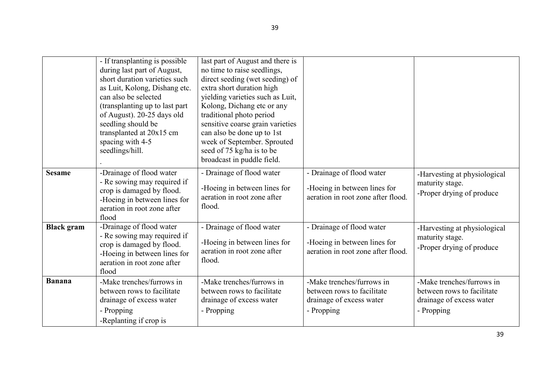|                   | - If transplanting is possible<br>during last part of August,<br>short duration varieties such<br>as Luit, Kolong, Dishang etc.<br>can also be selected<br>(transplanting up to last part)<br>of August). 20-25 days old<br>seedling should be<br>transplanted at 20x15 cm<br>spacing with 4-5<br>seedlings/hill. | last part of August and there is<br>no time to raise seedlings,<br>direct seeding (wet seeding) of<br>extra short duration high<br>yielding varieties such as Luit,<br>Kolong, Dichang etc or any<br>traditional photo period<br>sensitive coarse grain varieties<br>can also be done up to 1st<br>week of September. Sprouted<br>seed of 75 kg/ha is to be<br>broadcast in puddle field. |                                                                                                   |                                                                                                   |
|-------------------|-------------------------------------------------------------------------------------------------------------------------------------------------------------------------------------------------------------------------------------------------------------------------------------------------------------------|-------------------------------------------------------------------------------------------------------------------------------------------------------------------------------------------------------------------------------------------------------------------------------------------------------------------------------------------------------------------------------------------|---------------------------------------------------------------------------------------------------|---------------------------------------------------------------------------------------------------|
| <b>Sesame</b>     | -Drainage of flood water<br>- Re sowing may required if<br>crop is damaged by flood.<br>-Hoeing in between lines for<br>aeration in root zone after<br>flood                                                                                                                                                      | - Drainage of flood water<br>-Hoeing in between lines for<br>aeration in root zone after<br>flood.                                                                                                                                                                                                                                                                                        | - Drainage of flood water<br>-Hoeing in between lines for<br>aeration in root zone after flood.   | -Harvesting at physiological<br>maturity stage.<br>-Proper drying of produce                      |
| <b>Black</b> gram | -Drainage of flood water<br>- Re sowing may required if<br>crop is damaged by flood.<br>-Hoeing in between lines for<br>aeration in root zone after<br>flood                                                                                                                                                      | - Drainage of flood water<br>-Hoeing in between lines for<br>aeration in root zone after<br>flood.                                                                                                                                                                                                                                                                                        | - Drainage of flood water<br>-Hoeing in between lines for<br>aeration in root zone after flood.   | -Harvesting at physiological<br>maturity stage.<br>-Proper drying of produce                      |
| <b>Banana</b>     | -Make trenches/furrows in<br>between rows to facilitate<br>drainage of excess water<br>- Propping<br>-Replanting if crop is                                                                                                                                                                                       | -Make trenches/furrows in<br>between rows to facilitate<br>drainage of excess water<br>- Propping                                                                                                                                                                                                                                                                                         | -Make trenches/furrows in<br>between rows to facilitate<br>drainage of excess water<br>- Propping | -Make trenches/furrows in<br>between rows to facilitate<br>drainage of excess water<br>- Propping |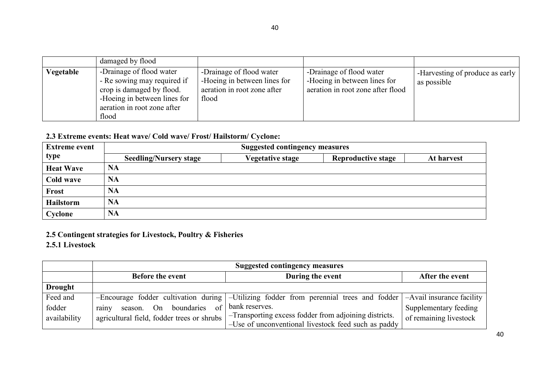|           | damaged by flood                                                                                                                                             |                                                                                                  |                                                                                               |                                                  |
|-----------|--------------------------------------------------------------------------------------------------------------------------------------------------------------|--------------------------------------------------------------------------------------------------|-----------------------------------------------------------------------------------------------|--------------------------------------------------|
| Vegetable | -Drainage of flood water<br>- Re sowing may required if<br>crop is damaged by flood.<br>-Hoeing in between lines for<br>aeration in root zone after<br>flood | -Drainage of flood water<br>-Hoeing in between lines for<br>aeration in root zone after<br>flood | -Drainage of flood water<br>-Hoeing in between lines for<br>aeration in root zone after flood | -Harvesting of produce as early  <br>as possible |

# 2.3 Extreme events: Heat wave/ Cold wave/ Frost/ Hailstorm/ Cyclone:

| <b>Extreme event</b> | <b>Suggested contingency measures</b> |                         |                           |            |
|----------------------|---------------------------------------|-------------------------|---------------------------|------------|
| type                 | <b>Seedling/Nursery stage</b>         | <b>Vegetative stage</b> | <b>Reproductive stage</b> | At harvest |
| <b>Heat Wave</b>     | <b>NA</b>                             |                         |                           |            |
| Cold wave            | <b>NA</b>                             |                         |                           |            |
| <b>Frost</b>         | <b>NA</b>                             |                         |                           |            |
| Hailstorm            | <b>NA</b>                             |                         |                           |            |
| Cyclone              | <b>NA</b>                             |                         |                           |            |

# 2.5 Contingent strategies for Livestock, Poultry & Fisheries

2.5.1 Livestock

|                | <b>Suggested contingency measures</b>        |                                                                                                                                  |                        |  |
|----------------|----------------------------------------------|----------------------------------------------------------------------------------------------------------------------------------|------------------------|--|
|                | During the event<br><b>Before the event</b>  |                                                                                                                                  | After the event        |  |
| <b>Drought</b> |                                              |                                                                                                                                  |                        |  |
| Feed and       |                                              | -Encourage fodder cultivation during $\vert$ -Utilizing fodder from perennial trees and fodder $\vert$ -Avail insurance facility |                        |  |
| fodder         | season. On boundaries<br>$\sigma$ f<br>rainy | bank reserves.                                                                                                                   | Supplementary feeding  |  |
| availability   |                                              | $\frac{1}{2}$ agricultural field, fodder trees or shrubs $\frac{1}{2}$ -Transporting excess fodder from adjoining districts.     | of remaining livestock |  |
|                |                                              | -Use of unconventional livestock feed such as paddy                                                                              |                        |  |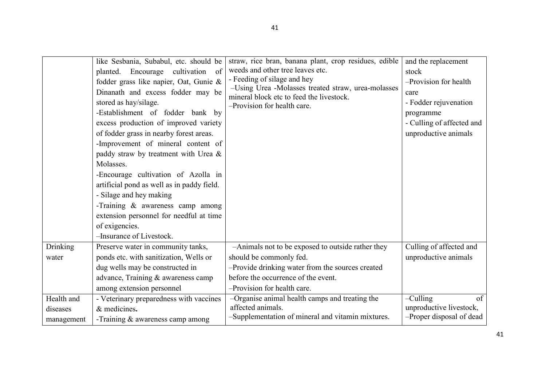|                 | like Sesbania, Subabul, etc. should be<br>Encourage cultivation<br>of<br>planted.<br>fodder grass like napier, Oat, Gunie &<br>Dinanath and excess fodder may be<br>stored as hay/silage.<br>-Establishment of fodder bank by<br>excess production of improved variety<br>of fodder grass in nearby forest areas.<br>-Improvement of mineral content of<br>paddy straw by treatment with Urea &<br>Molasses.<br>-Encourage cultivation of Azolla in<br>artificial pond as well as in paddy field.<br>- Silage and hey making<br>-Training & awareness camp among<br>extension personnel for needful at time<br>of exigencies.<br>-Insurance of Livestock. | straw, rice bran, banana plant, crop residues, edible<br>weeds and other tree leaves etc.<br>- Feeding of silage and hey<br>-Using Urea -Molasses treated straw, urea-molasses<br>mineral block etc to feed the livestock.<br>-Provision for health care. | and the replacement<br>stock<br>-Provision for health<br>care<br>- Fodder rejuvenation<br>programme<br>- Culling of affected and<br>unproductive animals |
|-----------------|-----------------------------------------------------------------------------------------------------------------------------------------------------------------------------------------------------------------------------------------------------------------------------------------------------------------------------------------------------------------------------------------------------------------------------------------------------------------------------------------------------------------------------------------------------------------------------------------------------------------------------------------------------------|-----------------------------------------------------------------------------------------------------------------------------------------------------------------------------------------------------------------------------------------------------------|----------------------------------------------------------------------------------------------------------------------------------------------------------|
| <b>Drinking</b> | Preserve water in community tanks,                                                                                                                                                                                                                                                                                                                                                                                                                                                                                                                                                                                                                        | -Animals not to be exposed to outside rather they                                                                                                                                                                                                         | Culling of affected and                                                                                                                                  |
| water           | ponds etc. with sanitization, Wells or                                                                                                                                                                                                                                                                                                                                                                                                                                                                                                                                                                                                                    | should be commonly fed.                                                                                                                                                                                                                                   | unproductive animals                                                                                                                                     |
|                 | dug wells may be constructed in                                                                                                                                                                                                                                                                                                                                                                                                                                                                                                                                                                                                                           | -Provide drinking water from the sources created                                                                                                                                                                                                          |                                                                                                                                                          |
|                 | advance, Training & awareness camp                                                                                                                                                                                                                                                                                                                                                                                                                                                                                                                                                                                                                        | before the occurrence of the event.                                                                                                                                                                                                                       |                                                                                                                                                          |
|                 | among extension personnel                                                                                                                                                                                                                                                                                                                                                                                                                                                                                                                                                                                                                                 | -Provision for health care.                                                                                                                                                                                                                               |                                                                                                                                                          |
| Health and      | - Veterinary preparedness with vaccines                                                                                                                                                                                                                                                                                                                                                                                                                                                                                                                                                                                                                   | -Organise animal health camps and treating the                                                                                                                                                                                                            | $-$ Culling<br>of                                                                                                                                        |
| diseases        | & medicines.                                                                                                                                                                                                                                                                                                                                                                                                                                                                                                                                                                                                                                              | affected animals.                                                                                                                                                                                                                                         | unproductive livestock,                                                                                                                                  |
| management      | -Training $&$ awareness camp among                                                                                                                                                                                                                                                                                                                                                                                                                                                                                                                                                                                                                        | -Supplementation of mineral and vitamin mixtures.                                                                                                                                                                                                         | -Proper disposal of dead                                                                                                                                 |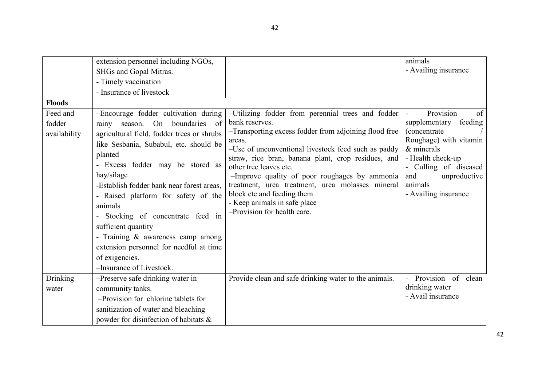|                                                     | extension personnel including NGOs,<br>SHGs and Gopal Mitras.<br>- Timely vaccination<br>- Insurance of livestock                                                                                                                                                                                                                                                                                                                                                                                                                 |                                                                                                                                                                                                                                                                                                                                                                                                                                                                                 | animals<br>- Availing insurance                                                                                                                                                                                              |
|-----------------------------------------------------|-----------------------------------------------------------------------------------------------------------------------------------------------------------------------------------------------------------------------------------------------------------------------------------------------------------------------------------------------------------------------------------------------------------------------------------------------------------------------------------------------------------------------------------|---------------------------------------------------------------------------------------------------------------------------------------------------------------------------------------------------------------------------------------------------------------------------------------------------------------------------------------------------------------------------------------------------------------------------------------------------------------------------------|------------------------------------------------------------------------------------------------------------------------------------------------------------------------------------------------------------------------------|
| <b>Floods</b><br>Feed and<br>fodder<br>availability | -Encourage fodder cultivation during<br>On<br>boundaries<br>of<br>season.<br>rainy<br>agricultural field, fodder trees or shrubs<br>like Sesbania, Subabul, etc. should be<br>planted<br>- Excess fodder may be stored as<br>hay/silage<br>-Establish fodder bank near forest areas.<br>- Raised platform for safety of the<br>animals<br>Stocking of concentrate feed in<br>sufficient quantity<br>- Training $\&$ awareness camp among<br>extension personnel for needful at time<br>of exigencies.<br>-Insurance of Livestock. | -Utilizing fodder from perennial trees and fodder<br>bank reserves.<br>-Transporting excess fodder from adjoining flood free<br>areas.<br>-Use of unconventional livestock feed such as paddy<br>straw, rice bran, banana plant, crop residues, and<br>other tree leaves etc.<br>-Improve quality of poor roughages by ammonia<br>treatment, urea treatment, urea molasses mineral<br>block etc and feeding them<br>- Keep animals in safe place<br>-Provision for health care. | Provision<br>of<br>$\blacksquare$<br>supplementary feeding<br>(concentrate<br>Roughage) with vitamin<br>$&$ minerals<br>- Health check-up<br>- Culling of diseased<br>unproductive<br>and<br>animals<br>- Availing insurance |
| Drinking<br>water                                   | -Preserve safe drinking water in<br>community tanks.<br>-Provision for chlorine tablets for<br>sanitization of water and bleaching<br>powder for disinfection of habitats &                                                                                                                                                                                                                                                                                                                                                       | Provide clean and safe drinking water to the animals.                                                                                                                                                                                                                                                                                                                                                                                                                           | Provision of clean<br>drinking water<br>- Avail insurance                                                                                                                                                                    |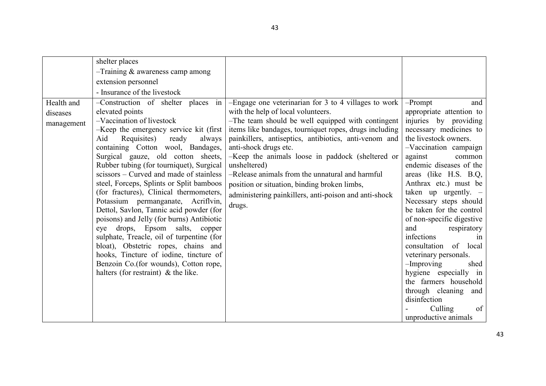| Health and<br>diseases<br>management | shelter places<br>$-$ Training & awareness camp among<br>extension personnel<br>- Insurance of the livestock<br>-Construction of shelter places<br>in<br>elevated points<br>-Vaccination of livestock<br>-Keep the emergency service kit (first)<br>Requisites)<br>ready<br>always<br>Aid<br>containing Cotton wool, Bandages,<br>Surgical gauze, old cotton sheets,<br>Rubber tubing (for tourniquet), Surgical<br>scissors – Curved and made of stainless<br>steel, Forceps, Splints or Split bamboos<br>(for fractures), Clinical thermometers,<br>Potassium permanganate, Acriflvin,<br>Dettol, Savlon, Tannic acid powder (for<br>poisons) and Jelly (for burns) Antibiotic<br>eye drops, Epsom salts, copper<br>sulphate, Treacle, oil of turpentine (for<br>bloat), Obstetric ropes, chains and<br>hooks, Tincture of iodine, tincture of<br>Benzoin Co.(for wounds), Cotton rope,<br>halters (for restraint) $\&$ the like. | -Engage one veterinarian for 3 to 4 villages to work<br>with the help of local volunteers.<br>-The team should be well equipped with contingent<br>items like bandages, tourniquet ropes, drugs including<br>painkillers, antiseptics, antibiotics, anti-venom and<br>anti-shock drugs etc.<br>-Keep the animals loose in paddock (sheltered or<br>unsheltered)<br>-Release animals from the unnatural and harmful<br>position or situation, binding broken limbs,<br>administering painkillers, anti-poison and anti-shock<br>drugs. | $-$ Prompt<br>and<br>appropriate attention to<br>injuries by providing<br>necessary medicines to<br>the livestock owners.<br>-Vaccination campaign<br>against<br>common<br>endemic diseases of the<br>areas (like H.S. B.Q,<br>Anthrax etc.) must be<br>taken up urgently. $-$<br>Necessary steps should<br>be taken for the control<br>of non-specific digestive<br>and<br>respiratory<br>infections<br>1n<br>consultation of local<br>veterinary personals.<br>$-$ Improving<br>shed<br>hygiene especially in<br>the farmers household<br>through cleaning<br>and<br>disinfection<br>Culling<br>of<br>unproductive animals |
|--------------------------------------|-------------------------------------------------------------------------------------------------------------------------------------------------------------------------------------------------------------------------------------------------------------------------------------------------------------------------------------------------------------------------------------------------------------------------------------------------------------------------------------------------------------------------------------------------------------------------------------------------------------------------------------------------------------------------------------------------------------------------------------------------------------------------------------------------------------------------------------------------------------------------------------------------------------------------------------|---------------------------------------------------------------------------------------------------------------------------------------------------------------------------------------------------------------------------------------------------------------------------------------------------------------------------------------------------------------------------------------------------------------------------------------------------------------------------------------------------------------------------------------|------------------------------------------------------------------------------------------------------------------------------------------------------------------------------------------------------------------------------------------------------------------------------------------------------------------------------------------------------------------------------------------------------------------------------------------------------------------------------------------------------------------------------------------------------------------------------------------------------------------------------|
|--------------------------------------|-------------------------------------------------------------------------------------------------------------------------------------------------------------------------------------------------------------------------------------------------------------------------------------------------------------------------------------------------------------------------------------------------------------------------------------------------------------------------------------------------------------------------------------------------------------------------------------------------------------------------------------------------------------------------------------------------------------------------------------------------------------------------------------------------------------------------------------------------------------------------------------------------------------------------------------|---------------------------------------------------------------------------------------------------------------------------------------------------------------------------------------------------------------------------------------------------------------------------------------------------------------------------------------------------------------------------------------------------------------------------------------------------------------------------------------------------------------------------------------|------------------------------------------------------------------------------------------------------------------------------------------------------------------------------------------------------------------------------------------------------------------------------------------------------------------------------------------------------------------------------------------------------------------------------------------------------------------------------------------------------------------------------------------------------------------------------------------------------------------------------|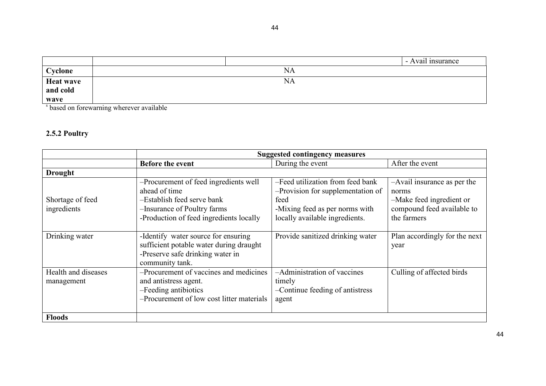|                  | - Avail insurance |  |
|------------------|-------------------|--|
| Cyclone          | ΝA                |  |
| <b>Heat wave</b> | NA                |  |
| and cold         |                   |  |
| wave             |                   |  |

s based on forewarning wherever available

## 2.5.2 Poultry

|                                   | <b>Suggested contingency measures</b>                                                                                                                          |                                                                                                                                                   |                                                                                                               |
|-----------------------------------|----------------------------------------------------------------------------------------------------------------------------------------------------------------|---------------------------------------------------------------------------------------------------------------------------------------------------|---------------------------------------------------------------------------------------------------------------|
|                                   | <b>Before the event</b>                                                                                                                                        | During the event                                                                                                                                  | After the event                                                                                               |
| <b>Drought</b>                    |                                                                                                                                                                |                                                                                                                                                   |                                                                                                               |
| Shortage of feed<br>ingredients   | -Procurement of feed ingredients well<br>ahead of time<br>-Establish feed serve bank<br>-Insurance of Poultry farms<br>-Production of feed ingredients locally | -Feed utilization from feed bank<br>-Provision for supplementation of<br>feed<br>-Mixing feed as per norms with<br>locally available ingredients. | -Avail insurance as per the<br>norms<br>-Make feed ingredient or<br>compound feed available to<br>the farmers |
| Drinking water                    | -Identify water source for ensuring<br>sufficient potable water during draught<br>-Preserve safe drinking water in<br>community tank.                          | Provide sanitized drinking water                                                                                                                  | Plan accordingly for the next<br>year                                                                         |
| Health and diseases<br>management | -Procurement of vaccines and medicines<br>and antistress agent.<br>-Feeding antibiotics<br>-Procurement of low cost litter materials                           | $\overline{-A}$ dministration of vaccines<br>timely<br>-Continue feeding of antistress<br>agent                                                   | Culling of affected birds                                                                                     |
| <b>Floods</b>                     |                                                                                                                                                                |                                                                                                                                                   |                                                                                                               |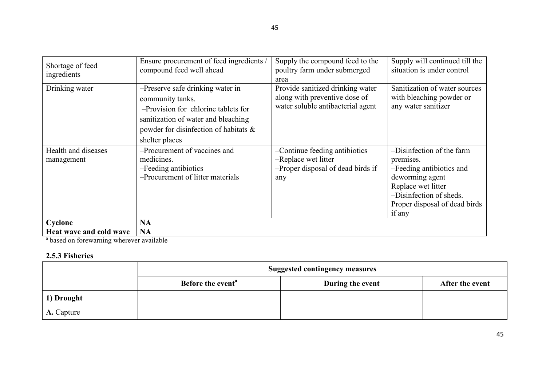| Shortage of feed<br>ingredients   | Ensure procurement of feed ingredients /<br>compound feed well ahead                                                                                                                          | Supply the compound feed to the<br>poultry farm under submerged<br>area                                | Supply will continued till the<br>situation is under control                                                                                                                      |
|-----------------------------------|-----------------------------------------------------------------------------------------------------------------------------------------------------------------------------------------------|--------------------------------------------------------------------------------------------------------|-----------------------------------------------------------------------------------------------------------------------------------------------------------------------------------|
| Drinking water                    | -Preserve safe drinking water in<br>community tanks.<br>-Provision for chlorine tablets for<br>sanitization of water and bleaching<br>powder for disinfection of habitats &<br>shelter places | Provide sanitized drinking water<br>along with preventive dose of<br>water soluble antibacterial agent | Sanitization of water sources<br>with bleaching powder or<br>any water sanitizer                                                                                                  |
| Health and diseases<br>management | -Procurement of vaccines and<br>medicines.<br>-Feeding antibiotics<br>-Procurement of litter materials                                                                                        | -Continue feeding antibiotics<br>-Replace wet litter<br>-Proper disposal of dead birds if<br>any       | -Disinfection of the farm<br>premises.<br>-Feeding antibiotics and<br>deworming agent<br>Replace wet litter<br>-Disinfection of sheds.<br>Proper disposal of dead birds<br>if any |
| Cyclone                           | <b>NA</b>                                                                                                                                                                                     |                                                                                                        |                                                                                                                                                                                   |
| Heat wave and cold wave           | <b>NA</b>                                                                                                                                                                                     |                                                                                                        |                                                                                                                                                                                   |

**Heat wave and cold wave** | **NA**<br><sup>a</sup> based on forewarning wherever available

# 2.5.3 Fisheries

|                   | <b>Suggested contingency measures</b> |                  |                 |
|-------------------|---------------------------------------|------------------|-----------------|
|                   | Before the event <sup>a</sup>         | During the event | After the event |
| 1) Drought        |                                       |                  |                 |
| <b>A.</b> Capture |                                       |                  |                 |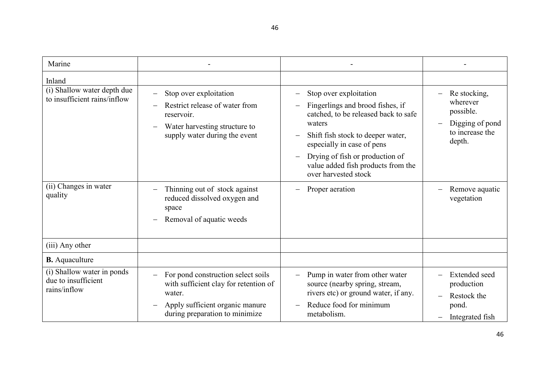| Marine                                                            |                                                                                                                                                            |                                                                                                                                                                                                                                                                                  |                                                                                       |
|-------------------------------------------------------------------|------------------------------------------------------------------------------------------------------------------------------------------------------------|----------------------------------------------------------------------------------------------------------------------------------------------------------------------------------------------------------------------------------------------------------------------------------|---------------------------------------------------------------------------------------|
| Inland                                                            |                                                                                                                                                            |                                                                                                                                                                                                                                                                                  |                                                                                       |
| (i) Shallow water depth due<br>to insufficient rains/inflow       | Stop over exploitation<br>Restrict release of water from<br>reservoir.<br>Water harvesting structure to<br>supply water during the event                   | Stop over exploitation<br>Fingerlings and brood fishes, if<br>catched, to be released back to safe<br>waters<br>Shift fish stock to deeper water,<br>especially in case of pens<br>Drying of fish or production of<br>value added fish products from the<br>over harvested stock | Re stocking,<br>wherever<br>possible.<br>Digging of pond<br>to increase the<br>depth. |
| (ii) Changes in water<br>quality                                  | Thinning out of stock against<br>reduced dissolved oxygen and<br>space<br>Removal of aquatic weeds                                                         | Proper aeration                                                                                                                                                                                                                                                                  | Remove aquatic<br>vegetation                                                          |
| (iii) Any other                                                   |                                                                                                                                                            |                                                                                                                                                                                                                                                                                  |                                                                                       |
| <b>B.</b> Aquaculture                                             |                                                                                                                                                            |                                                                                                                                                                                                                                                                                  |                                                                                       |
| (i) Shallow water in ponds<br>due to insufficient<br>rains/inflow | For pond construction select soils<br>with sufficient clay for retention of<br>water.<br>Apply sufficient organic manure<br>during preparation to minimize | Pump in water from other water<br>source (nearby spring, stream,<br>rivers etc) or ground water, if any.<br>Reduce food for minimum<br>metabolism.                                                                                                                               | Extended seed<br>production<br>Restock the<br>pond.<br>Integrated fish                |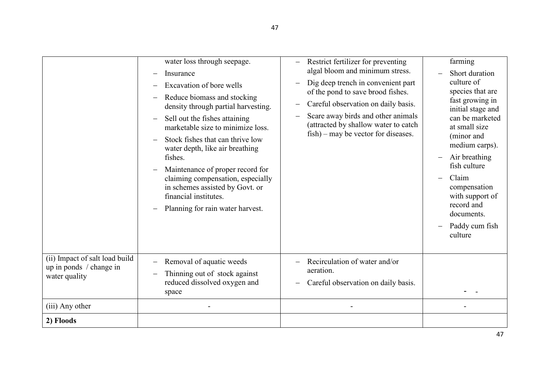|                                                                            | water loss through seepage.<br>Insurance<br>Excavation of bore wells<br>Reduce biomass and stocking<br>density through partial harvesting.<br>Sell out the fishes attaining<br>marketable size to minimize loss.<br>Stock fishes that can thrive low<br>water depth, like air breathing<br>fishes.<br>Maintenance of proper record for<br>claiming compensation, especially<br>in schemes assisted by Govt. or<br>financial institutes.<br>Planning for rain water harvest. | Restrict fertilizer for preventing<br>algal bloom and minimum stress.<br>Dig deep trench in convenient part<br>of the pond to save brood fishes.<br>Careful observation on daily basis.<br>Scare away birds and other animals<br>(attracted by shallow water to catch<br>fish) – may be vector for diseases. | farming<br>Short duration<br>culture of<br>species that are<br>fast growing in<br>initial stage and<br>can be marketed<br>at small size<br>(minor and<br>medium carps).<br>Air breathing<br>fish culture<br>Claim<br>compensation<br>with support of<br>record and<br>documents.<br>Paddy cum fish<br>culture |
|----------------------------------------------------------------------------|-----------------------------------------------------------------------------------------------------------------------------------------------------------------------------------------------------------------------------------------------------------------------------------------------------------------------------------------------------------------------------------------------------------------------------------------------------------------------------|--------------------------------------------------------------------------------------------------------------------------------------------------------------------------------------------------------------------------------------------------------------------------------------------------------------|---------------------------------------------------------------------------------------------------------------------------------------------------------------------------------------------------------------------------------------------------------------------------------------------------------------|
| (ii) Impact of salt load build<br>up in ponds / change in<br>water quality | Removal of aquatic weeds<br>Thinning out of stock against<br>reduced dissolved oxygen and<br>space                                                                                                                                                                                                                                                                                                                                                                          | Recirculation of water and/or<br>aeration.<br>Careful observation on daily basis.                                                                                                                                                                                                                            |                                                                                                                                                                                                                                                                                                               |
| (iii) Any other                                                            |                                                                                                                                                                                                                                                                                                                                                                                                                                                                             |                                                                                                                                                                                                                                                                                                              |                                                                                                                                                                                                                                                                                                               |
| 2) Floods                                                                  |                                                                                                                                                                                                                                                                                                                                                                                                                                                                             |                                                                                                                                                                                                                                                                                                              |                                                                                                                                                                                                                                                                                                               |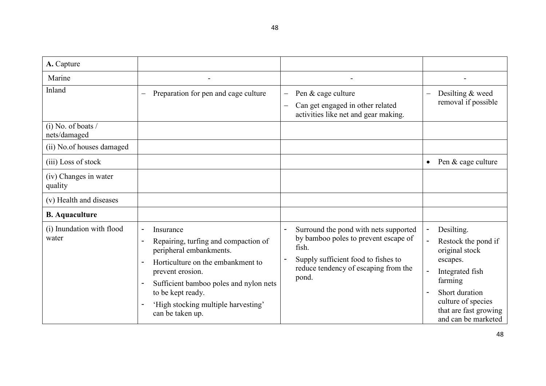| A. Capture                           |                                                                                                                                                                                                                                                                                                                                                     |                                                                                                                                                                                |                                                                                                                                                                                       |
|--------------------------------------|-----------------------------------------------------------------------------------------------------------------------------------------------------------------------------------------------------------------------------------------------------------------------------------------------------------------------------------------------------|--------------------------------------------------------------------------------------------------------------------------------------------------------------------------------|---------------------------------------------------------------------------------------------------------------------------------------------------------------------------------------|
| Marine                               |                                                                                                                                                                                                                                                                                                                                                     |                                                                                                                                                                                |                                                                                                                                                                                       |
| Inland                               | Preparation for pen and cage culture<br>$\equiv$                                                                                                                                                                                                                                                                                                    | Pen & cage culture<br>$\overline{\phantom{m}}$<br>Can get engaged in other related<br>activities like net and gear making.                                                     | Desilting & weed<br>$\overline{\phantom{0}}$<br>removal if possible                                                                                                                   |
| $(i)$ No. of boats /<br>nets/damaged |                                                                                                                                                                                                                                                                                                                                                     |                                                                                                                                                                                |                                                                                                                                                                                       |
| (ii) No.of houses damaged            |                                                                                                                                                                                                                                                                                                                                                     |                                                                                                                                                                                |                                                                                                                                                                                       |
| (iii) Loss of stock                  |                                                                                                                                                                                                                                                                                                                                                     |                                                                                                                                                                                | Pen & cage culture                                                                                                                                                                    |
| (iv) Changes in water<br>quality     |                                                                                                                                                                                                                                                                                                                                                     |                                                                                                                                                                                |                                                                                                                                                                                       |
| (v) Health and diseases              |                                                                                                                                                                                                                                                                                                                                                     |                                                                                                                                                                                |                                                                                                                                                                                       |
| <b>B.</b> Aquaculture                |                                                                                                                                                                                                                                                                                                                                                     |                                                                                                                                                                                |                                                                                                                                                                                       |
| (i) Inundation with flood<br>water   | Insurance<br>$\overline{\phantom{a}}$<br>Repairing, turfing and compaction of<br>$\overline{\phantom{a}}$<br>peripheral embankments.<br>Horticulture on the embankment to<br>$\overline{\phantom{a}}$<br>prevent erosion.<br>Sufficient bamboo poles and nylon nets<br>to be kept ready.<br>'High stocking multiple harvesting'<br>can be taken up. | Surround the pond with nets supported<br>by bamboo poles to prevent escape of<br>fish.<br>Supply sufficient food to fishes to<br>reduce tendency of escaping from the<br>pond. | Desilting.<br>Restock the pond if<br>original stock<br>escapes.<br>Integrated fish<br>farming<br>Short duration<br>culture of species<br>that are fast growing<br>and can be marketed |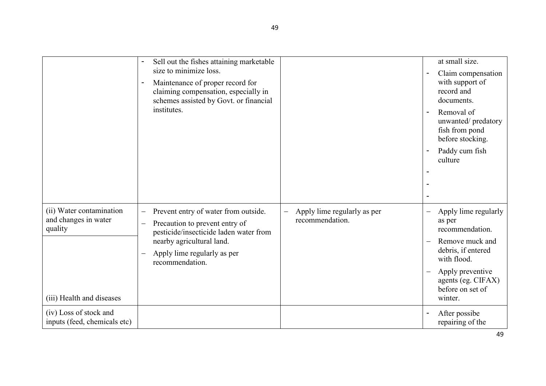|                                                                                          | Sell out the fishes attaining marketable<br>size to minimize loss.<br>Maintenance of proper record for<br>claiming compensation, especially in<br>schemes assisted by Govt. or financial<br>institutes.                                   |                                                | at small size.<br>Claim compensation<br>$\overline{a}$<br>with support of<br>record and<br>documents.<br>Removal of<br>$\overline{a}$<br>unwanted/predatory<br>fish from pond<br>before stocking.<br>Paddy cum fish<br>$\overline{a}$<br>culture |
|------------------------------------------------------------------------------------------|-------------------------------------------------------------------------------------------------------------------------------------------------------------------------------------------------------------------------------------------|------------------------------------------------|--------------------------------------------------------------------------------------------------------------------------------------------------------------------------------------------------------------------------------------------------|
| (ii) Water contamination<br>and changes in water<br>quality<br>(iii) Health and diseases | Prevent entry of water from outside.<br>$\qquad \qquad -$<br>Precaution to prevent entry of<br>$\qquad \qquad -$<br>pesticide/insecticide laden water from<br>nearby agricultural land.<br>Apply lime regularly as per<br>recommendation. | Apply lime regularly as per<br>recommendation. | Apply lime regularly<br>$\qquad \qquad -$<br>as per<br>recommendation.<br>Remove muck and<br>$\overline{\phantom{0}}$<br>debris, if entered<br>with flood.<br>Apply preventive<br>$\equiv$<br>agents (eg. CIFAX)<br>before on set of<br>winter.  |
| (iv) Loss of stock and<br>inputs (feed, chemicals etc)                                   |                                                                                                                                                                                                                                           |                                                | After possibe<br>$\overline{\phantom{a}}$<br>repairing of the<br>49                                                                                                                                                                              |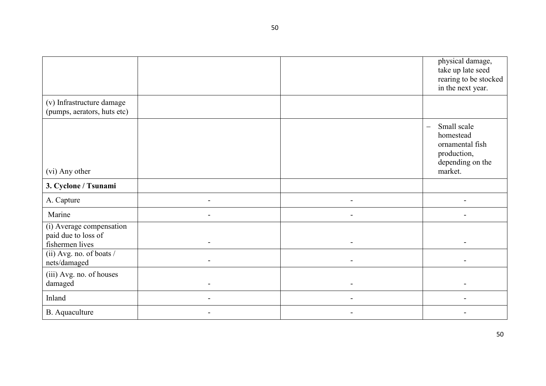50

|                                                                    |  | physical damage,<br>take up late seed<br>rearing to be stocked<br>in the next year.                            |
|--------------------------------------------------------------------|--|----------------------------------------------------------------------------------------------------------------|
| (v) Infrastructure damage<br>(pumps, aerators, huts etc)           |  |                                                                                                                |
| (vi) Any other                                                     |  | Small scale<br>$\qquad \qquad -$<br>homestead<br>ornamental fish<br>production,<br>depending on the<br>market. |
| 3. Cyclone / Tsunami                                               |  |                                                                                                                |
| A. Capture                                                         |  |                                                                                                                |
| Marine                                                             |  |                                                                                                                |
| (i) Average compensation<br>paid due to loss of<br>fishermen lives |  |                                                                                                                |
| (ii) Avg. no. of boats /<br>nets/damaged                           |  |                                                                                                                |
| (iii) Avg. no. of houses<br>damaged                                |  |                                                                                                                |
| Inland                                                             |  |                                                                                                                |
| <b>B.</b> Aquaculture                                              |  |                                                                                                                |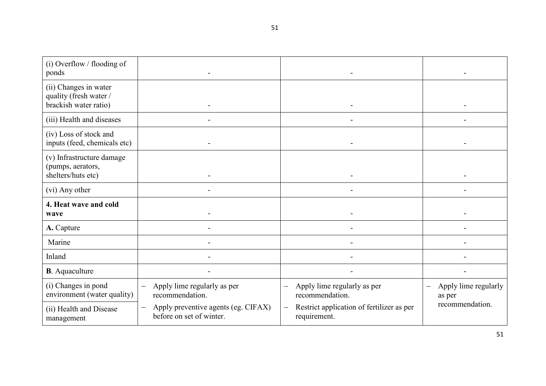| (i) Overflow / flooding of<br>ponds                                      |                                                                                             |                                                                                       |                                     |
|--------------------------------------------------------------------------|---------------------------------------------------------------------------------------------|---------------------------------------------------------------------------------------|-------------------------------------|
| (ii) Changes in water<br>quality (fresh water /<br>brackish water ratio) |                                                                                             |                                                                                       |                                     |
| (iii) Health and diseases                                                |                                                                                             |                                                                                       |                                     |
| (iv) Loss of stock and<br>inputs (feed, chemicals etc)                   |                                                                                             |                                                                                       |                                     |
| (v) Infrastructure damage<br>(pumps, aerators,<br>shelters/huts etc)     |                                                                                             |                                                                                       |                                     |
| (vi) Any other                                                           |                                                                                             |                                                                                       |                                     |
| 4. Heat wave and cold<br>wave                                            |                                                                                             |                                                                                       |                                     |
| A. Capture                                                               |                                                                                             |                                                                                       |                                     |
| Marine                                                                   |                                                                                             |                                                                                       |                                     |
| Inland                                                                   |                                                                                             |                                                                                       |                                     |
| <b>B</b> . Aquaculture                                                   |                                                                                             |                                                                                       |                                     |
| (i) Changes in pond<br>environment (water quality)                       | Apply lime regularly as per<br>$\overline{\phantom{m}}$<br>recommendation.                  | Apply lime regularly as per<br>recommendation.                                        | Apply lime regularly<br>—<br>as per |
| (ii) Health and Disease<br>management                                    | Apply preventive agents (eg. CIFAX)<br>$\overline{\phantom{m}}$<br>before on set of winter. | Restrict application of fertilizer as per<br>$\overline{\phantom{m}}$<br>requirement. | recommendation.                     |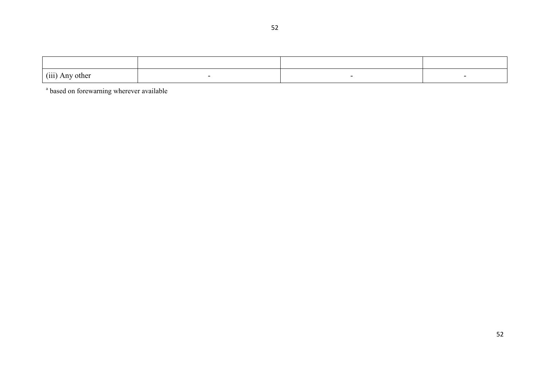| (iii)<br>$\sim$ $\sim$ $\sim$ $\sim$<br>other<br>. T 717 |  |  |
|----------------------------------------------------------|--|--|

<sup>a</sup> based on forewarning wherever available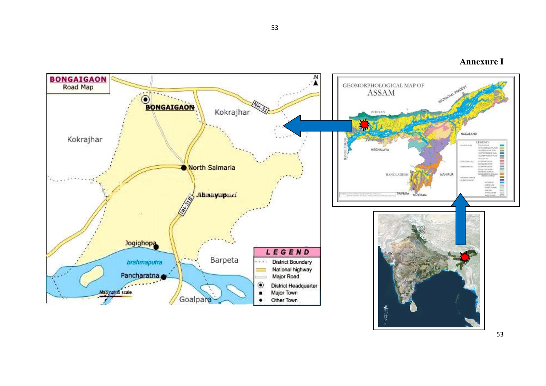

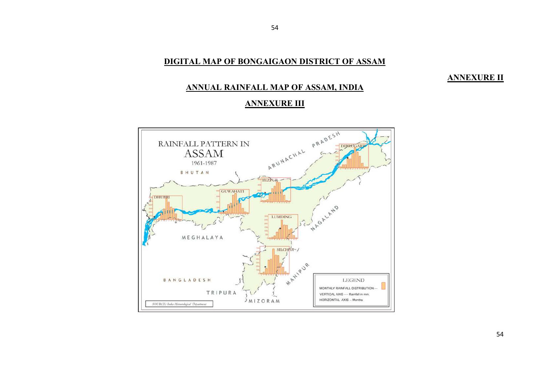# DIGITAL MAP OF BONGAIGAON DISTRICT OF ASSAM

54

# **ANNEXURE II**

# ANNUAL RAINFALL MAP OF ASSAM, INDIA

# ANNEXURE III